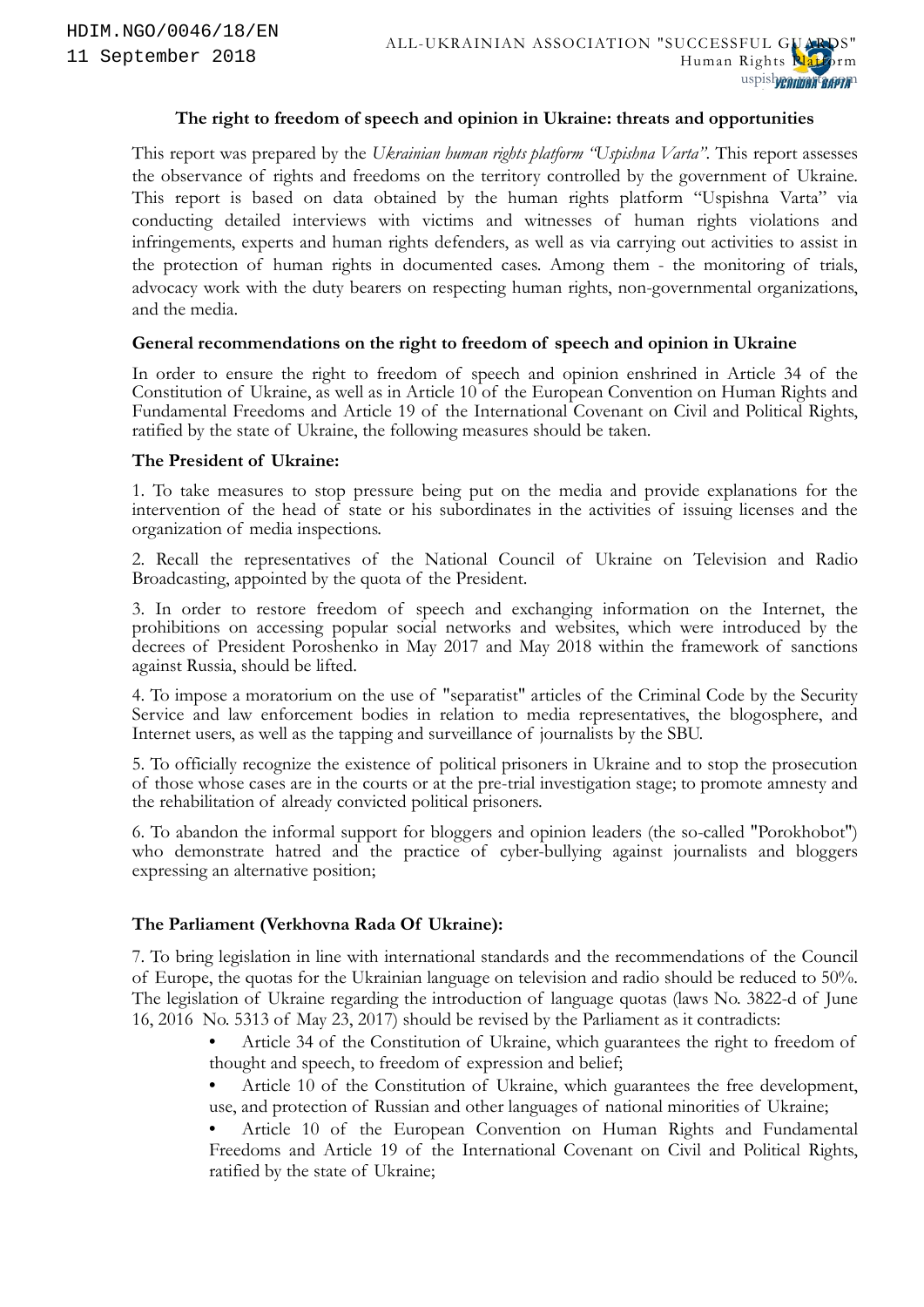#### **The right to freedom of speech and opinion in Ukraine: threats and opportunities**

This report was prepared by the *Ukrainian human rights platform "Uspishna Varta"*. This report assesses the observance of rights and freedoms on the territory controlled by the government of Ukraine. This report is based on data obtained by the human rights platform "Uspishna Varta" via conducting detailed interviews with victims and witnesses of human rights violations and infringements, experts and human rights defenders, as well as via carrying out activities to assist in the protection of human rights in documented cases. Among them - the monitoring of trials, advocacy work with the duty bearers on respecting human rights, non-governmental organizations, and the media.

#### **General recommendations on the right to freedom of speech and opinion in Ukraine**

In order to ensure the right to freedom of speech and opinion enshrined in Article 34 of the Constitution of Ukraine, as well as in Article 10 of the European Convention on Human Rights and Fundamental Freedoms and Article 19 of the International Covenant on Civil and Political Rights, ratified by the state of Ukraine, the following measures should be taken.

#### **The President of Ukraine:**

1. To take measures to stop pressure being put on the media and provide explanations for the intervention of the head of state or his subordinates in the activities of issuing licenses and the organization of media inspections.

2. Recall the representatives of the National Council of Ukraine on Television and Radio Broadcasting, appointed by the quota of the President.

3. In order to restore freedom of speech and exchanging information on the Internet, the prohibitions on accessing popular social networks and websites, which were introduced by the decrees of President Poroshenko in May 2017 and May 2018 within the framework of sanctions against Russia, should be lifted.

4. To impose a moratorium on the use of "separatist" articles of the Criminal Code by the Security Service and law enforcement bodies in relation to media representatives, the blogosphere, and Internet users, as well as the tapping and surveillance of journalists by the SBU.

5. To officially recognize the existence of political prisoners in Ukraine and to stop the prosecution of those whose cases are in the courts or at the pre-trial investigation stage; to promote amnesty and the rehabilitation of already convicted political prisoners.

6. To abandon the informal support for bloggers and opinion leaders (the so-called "Porokhobot") who demonstrate hatred and the practice of cyber-bullying against journalists and bloggers expressing an alternative position;

#### **The Parliament (Verkhovna Rada Of Ukraine):**

7. To bring legislation in line with international standards and the recommendations of the Council of Europe, the quotas for the Ukrainian language on television and radio should be reduced to 50%. The legislation of Ukraine regarding the introduction of language quotas (laws No. 3822-d of June 16, 2016 No. 5313 of May 23, 2017) should be revised by the Parliament as it contradicts:

- Article 34 of the Constitution of Ukraine, which guarantees the right to freedom of thought and speech, to freedom of expression and belief;
- Article 10 of the Constitution of Ukraine, which guarantees the free development, use, and protection of Russian and other languages of national minorities of Ukraine;
- <span id="page-0-0"></span>• Article 10 of the European Convention on Human Rights and Fundamental Freedoms and Article 19 of the International Covenant on Civil and Political Rights, ratified by the state of Ukraine;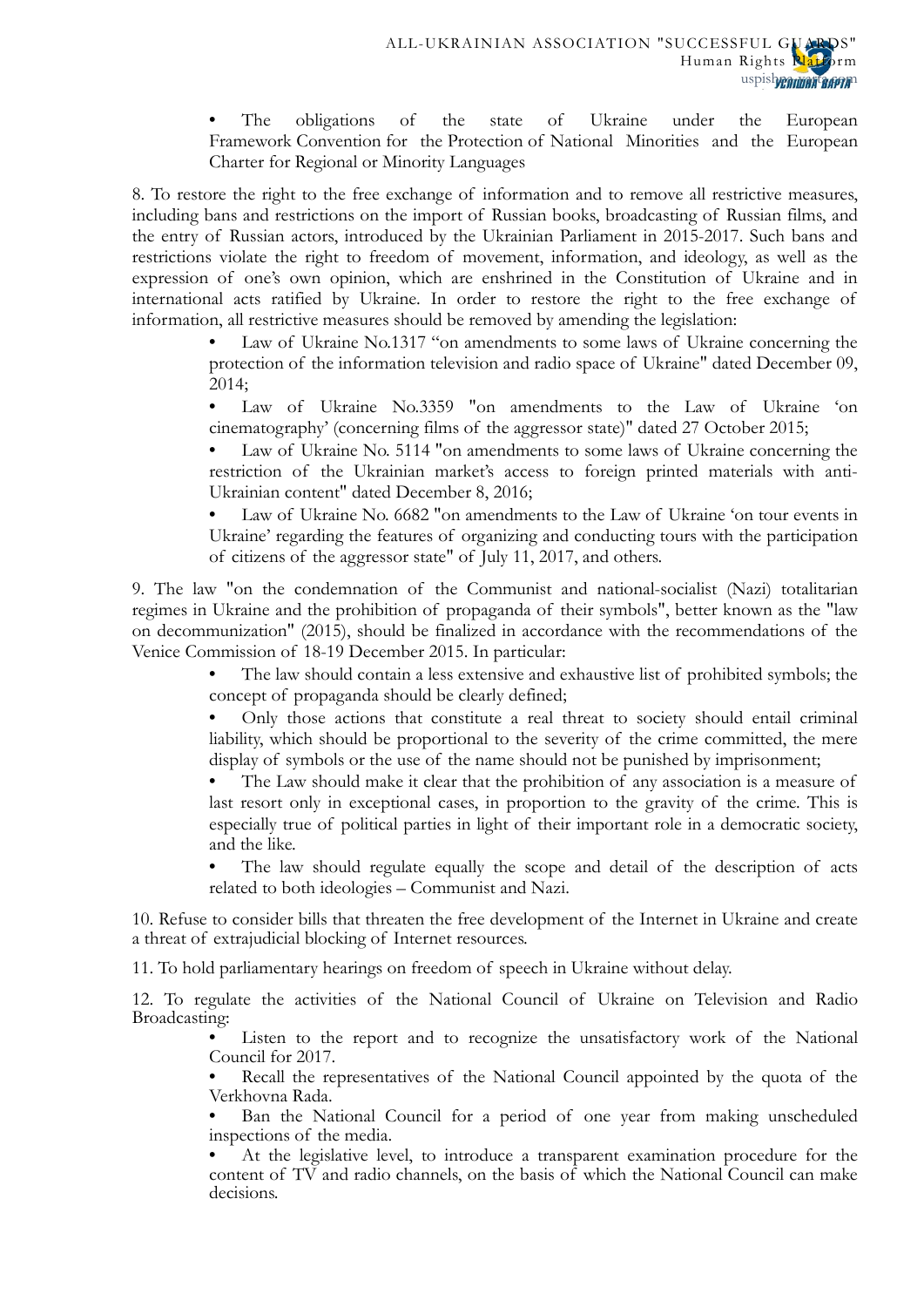• The obligations of the state of Ukraine under the European Framework Convention for the Protection of National Minorities and the European Charter for Regional or Minority Languages

8. To restore the right to the free exchange of information and to remove all restrictive measures, including bans and restrictions on the import of Russian books, broadcasting of Russian films, and the entry of Russian actors, introduced by the Ukrainian Parliament in 2015-2017. Such bans and restrictions violate the right to freedom of movement, information, and ideology, as well as the expression of one's own opinion, which are enshrined in the Constitution of Ukraine and in international acts ratified by Ukraine. In order to restore the right to the free exchange of information, all restrictive measures should be removed by amending the legislation:

> Law of Ukraine No.1317 "on amendments to some laws of Ukraine concerning the protection of the information television and radio space of Ukraine" dated December 09, 2014;

> • Law of Ukraine No.3359 "on amendments to the Law of Ukraine 'on cinematography' (concerning films of the aggressor state)" dated 27 October 2015;

> Law of Ukraine No. 5114 "on amendments to some laws of Ukraine concerning the restriction of the Ukrainian market's access to foreign printed materials with anti-Ukrainian content" dated December 8, 2016;

> Law of Ukraine No. 6682 "on amendments to the Law of Ukraine 'on tour events in Ukraine' regarding the features of organizing and conducting tours with the participation of citizens of the aggressor state" of July 11, 2017, and others.

9. The law "on the condemnation of the Communist and national-socialist (Nazi) totalitarian regimes in Ukraine and the prohibition of propaganda of their symbols", better known as the "law on decommunization" (2015), should be finalized in accordance with the recommendations of the Venice Commission of 18-19 December 2015. In particular:

> • The law should contain a less extensive and exhaustive list of prohibited symbols; the concept of propaganda should be clearly defined;

> • Only those actions that constitute a real threat to society should entail criminal liability, which should be proportional to the severity of the crime committed, the mere display of symbols or the use of the name should not be punished by imprisonment;

> The Law should make it clear that the prohibition of any association is a measure of last resort only in exceptional cases, in proportion to the gravity of the crime. This is especially true of political parties in light of their important role in a democratic society, and the like.

> The law should regulate equally the scope and detail of the description of acts related to both ideologies – Communist and Nazi.

10. Refuse to consider bills that threaten the free development of the Internet in Ukraine and create a threat of extrajudicial blocking of Internet resources.

11. To hold parliamentary hearings on freedom of speech in Ukraine without delay.

12. To regulate the activities of the National Council of Ukraine on Television and Radio Broadcasting:

> Listen to the report and to recognize the unsatisfactory work of the National Council for 2017.

> Recall the representatives of the National Council appointed by the quota of the Verkhovna Rada.

> Ban the National Council for a period of one year from making unscheduled inspections of the media.

> • At the legislative level, to introduce a transparent examination procedure for the content of TV and radio channels, on the basis of which the National Council can make decisions.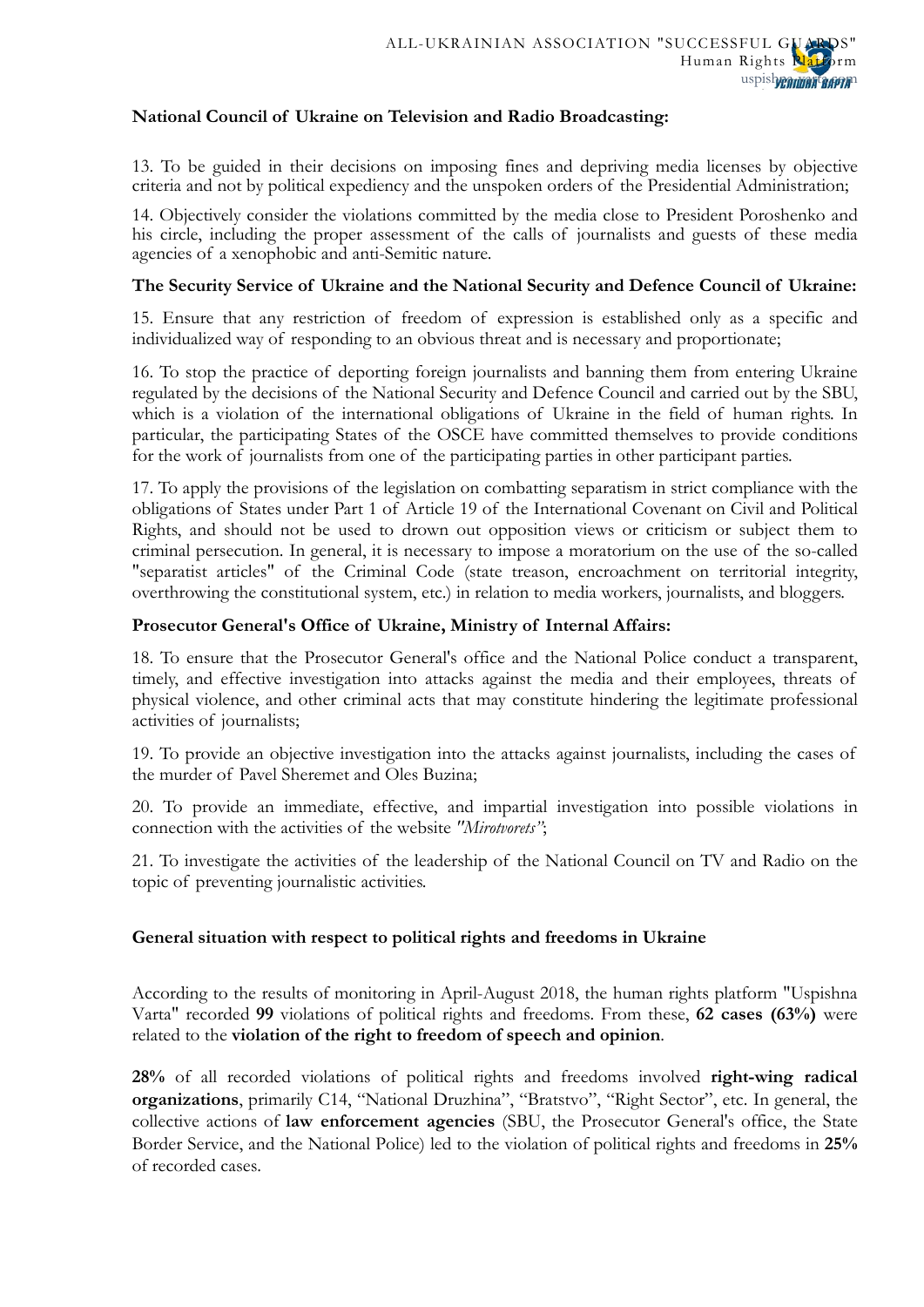### **National Council of Ukraine on Television and Radio Broadcasting:**

13. To be guided in their decisions on imposing fines and depriving media licenses by objective criteria and not by political expediency and the unspoken orders of the Presidential Administration;

14. Objectively consider the violations committed by the media close to President Poroshenko and his circle, including the proper assessment of the calls of journalists and guests of these media agencies of a xenophobic and anti-Semitic nature.

### **The Security Service of Ukraine and the National Security and Defence Council of Ukraine:**

15. Ensure that any restriction of freedom of expression is established only as a specific and individualized way of responding to an obvious threat and is necessary and proportionate;

16. To stop the practice of deporting foreign journalists and banning them from entering Ukraine regulated by the decisions of the National Security and Defence Council and carried out by the SBU, which is a violation of the international obligations of Ukraine in the field of human rights. In particular, the participating States of the OSCE have committed themselves to provide conditions for the work of journalists from one of the participating parties in other participant parties.

17. To apply the provisions of the legislation on combatting separatism in strict compliance with the obligations of States under Part 1 of Article 19 of the International Covenant on Civil and Political Rights, and should not be used to drown out opposition views or criticism or subject them to criminal persecution. In general, it is necessary to impose a moratorium on the use of the so-called "separatist articles" of the Criminal Code (state treason, encroachment on territorial integrity, overthrowing the constitutional system, etc.) in relation to media workers, journalists, and bloggers.

#### **Prosecutor General's Office of Ukraine, Ministry of Internal Affairs:**

18. To ensure that the Prosecutor General's office and the National Police conduct a transparent, timely, and effective investigation into attacks against the media and their employees, threats of physical violence, and other criminal acts that may constitute hindering the legitimate professional activities of journalists;

19. To provide an objective investigation into the attacks against journalists, including the cases of the murder of Pavel Sheremet and Oles Buzina;

20. To provide an immediate, effective, and impartial investigation into possible violations in connection with the activities of the website *"Mirotvorets"*;

21. To investigate the activities of the leadership of the National Council on TV and Radio on the topic of preventing journalistic activities.

### **General situation with respect to political rights and freedoms in Ukraine**

According to the results of monitoring in April-August 2018, the human rights platform "Uspishna Varta" recorded **99** violations of political rights and freedoms. From these, **62 cases (63%)** were related to the **violation of the right to freedom of speech and opinion**.

**28%** of all recorded violations of political rights and freedoms involved **right-wing radical organizations**, primarily C14, "National Druzhina", "Bratstvo", "Right Sector", etc. In general, the collective actions of **law enforcement agencies** (SBU, the Prosecutor General's office, the State Border Service, and the National Police) led to the violation of political rights and freedoms in **25%** of recorded cases.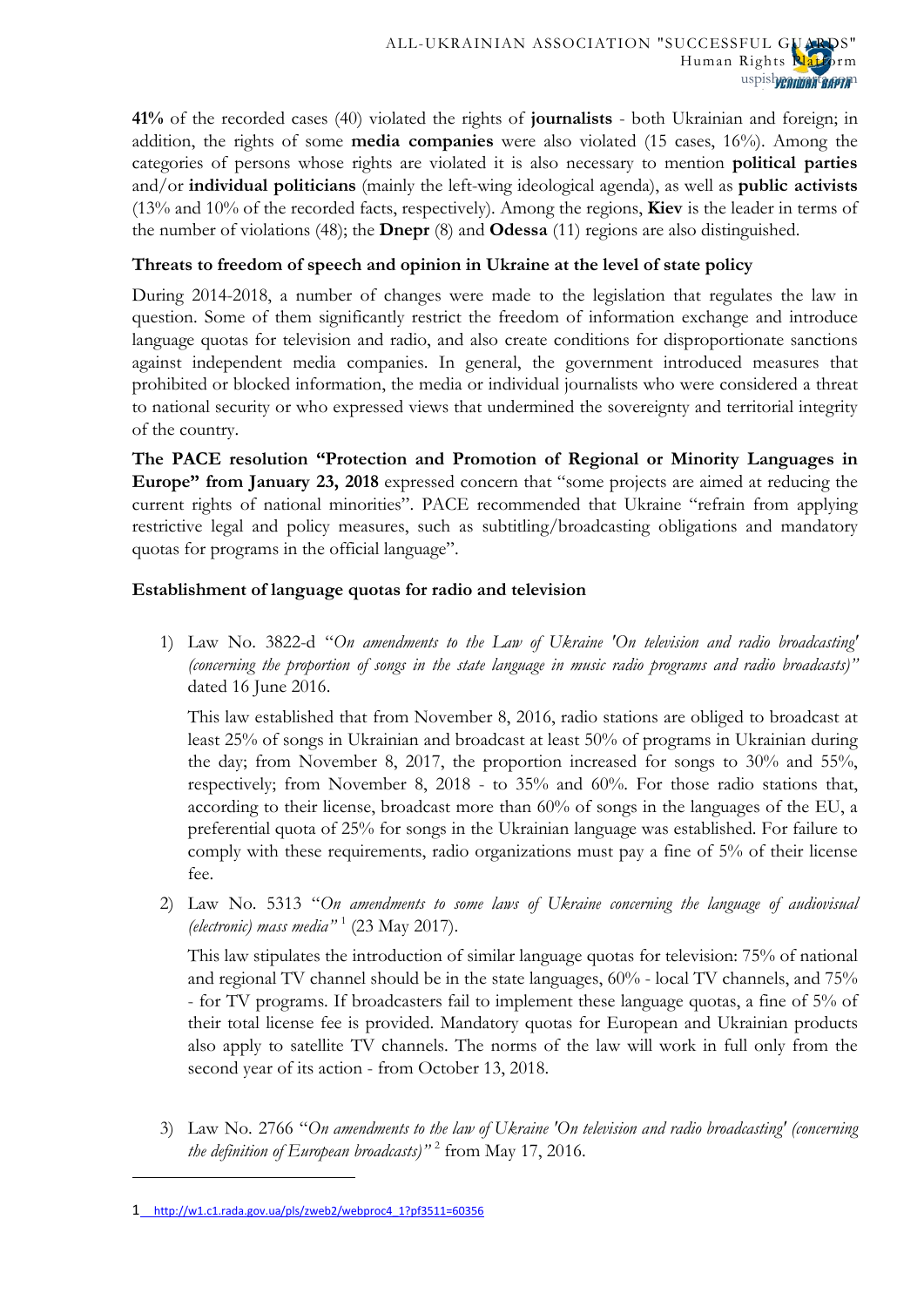**41%** of the recorded cases (40) violated the rights of **journalists** - both Ukrainian and foreign; in addition, the rights of some **media companies** were also violated (15 cases, 16%). Among the categories of persons whose rights are violated it is also necessary to mention **political parties** and/or **individual politicians** (mainly the left-wing ideological agenda), as well as **public activists** (13% and 10% of the recorded facts, respectively). Among the regions, **Kiev** is the leader in terms of the number of violations (48); the **Dnepr** (8) and **Odessa** (11) regions are also distinguished.

## **Threats to freedom of speech and opinion in Ukraine at the level of state policy**

During 2014-2018, a number of changes were made to the legislation that regulates the law in question. Some of them significantly restrict the freedom of information exchange and introduce language quotas for television and radio, and also create conditions for disproportionate sanctions against independent media companies. In general, the government introduced measures that prohibited or blocked information, the media or individual journalists who were considered a threat to national security or who expressed views that undermined the sovereignty and territorial integrity of the country.

**The PACE resolution "Protection and Promotion of Regional or Minority Languages in Europe" from January 23, 2018** expressed concern that "some projects are aimed at reducing the current rights of national minorities". PACE recommended that Ukraine "refrain from applying restrictive legal and policy measures, such as subtitling/broadcasting obligations and mandatory quotas for programs in the official language".

# **Establishment of language quotas for radio and television**

1) Law No. 3822-d "*On amendments to the Law of Ukraine 'On television and radio broadcasting' (concerning the proportion of songs in the state language in music radio programs and radio broadcasts)"* dated 16 June 2016.

This law established that from November 8, 2016, radio stations are obliged to broadcast at least 25% of songs in Ukrainian and broadcast at least 50% of programs in Ukrainian during the day; from November 8, 2017, the proportion increased for songs to 30% and 55%, respectively; from November 8, 2018 - to 35% and 60%. For those radio stations that, according to their license, broadcast more than 60% of songs in the languages of the EU, a preferential quota of 25% for songs in the Ukrainian language was established. For failure to comply with these requirements, radio organizations must pay a fine of 5% of their license fee.

2) Law No. 5313 "*On amendments to some laws of Ukraine concerning the language of audiovisual (electronic) mass media"* [1](#page-0-0) (23 May 2017).

This law stipulates the introduction of similar language quotas for television: 75% of national and regional TV channel should be in the state languages, 60% - local TV channels, and 75% - for TV programs. If broadcasters fail to implement these language quotas, a fine of 5% of their total license fee is provided. Mandatory quotas for European and Ukrainian products also apply to satellite TV channels. The norms of the law will work in full only from the second year of its action - from October 13, 2018.

<span id="page-3-0"></span>3) Law No. 2766 "*On amendments to the law of Ukraine 'On television and radio broadcasting' (concerning the definition of European broadcasts)"* [2](#page-3-0) from May 17, 2016.

<span id="page-3-1"></span><sup>1</sup> [http://w1.c1.rada.gov.ua/pls/zweb2/webproc4\\_1?pf3511=60356](http://w1.c1.rada.gov.ua/pls/zweb2/webproc4_1?pf3511=60356)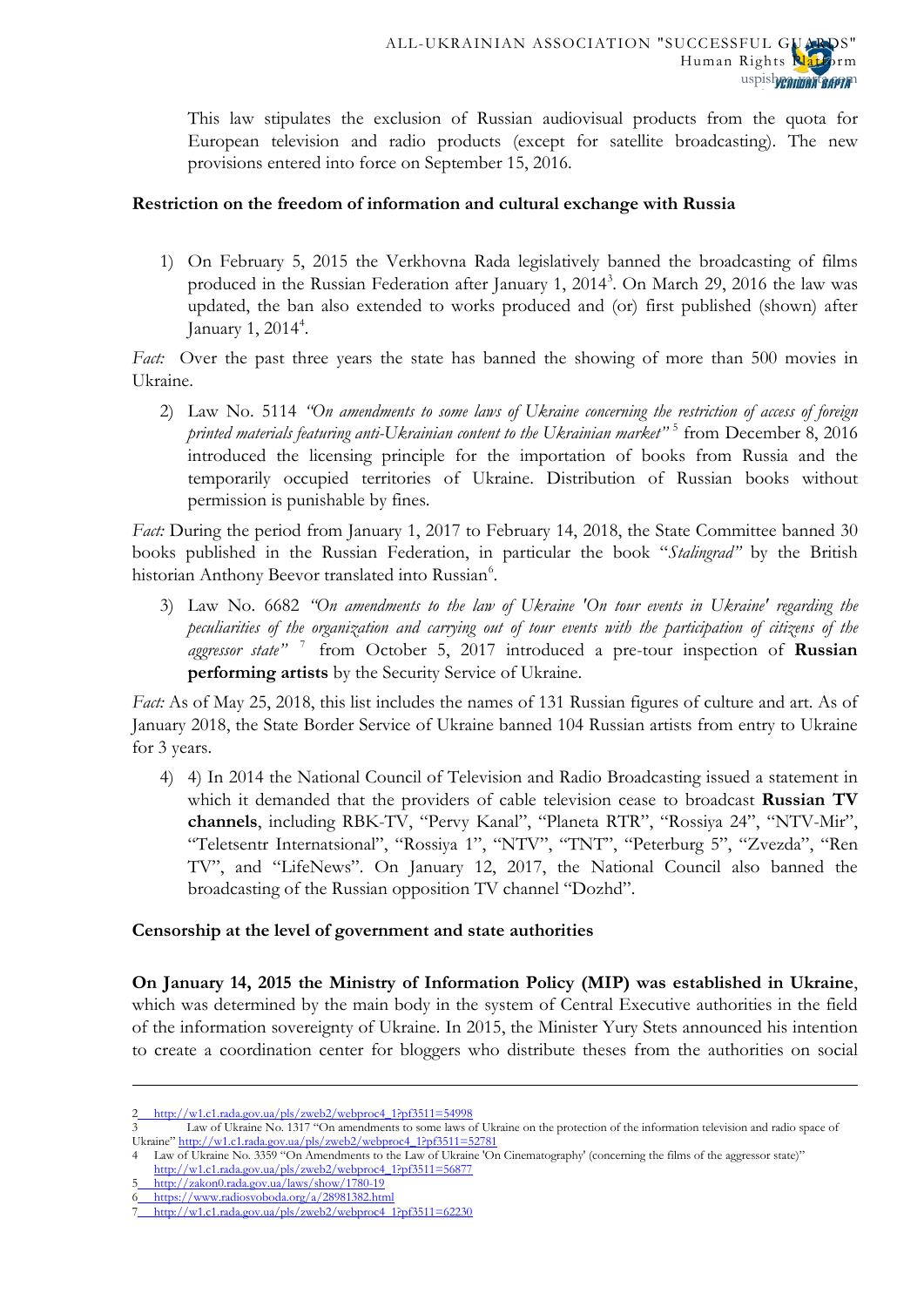This law stipulates the exclusion of Russian audiovisual products from the quota for European television and radio products (except for satellite broadcasting). The new provisions entered into force on September 15, 2016.

### **Restriction on the freedom of information and cultural exchange with Russia**

1) On February 5, 2015 the Verkhovna Rada legislatively banned the broadcasting of films produced in the Russian Federation after January 1, 2014<sup>[3](#page-3-1)</sup>. On March 29, 2016 the law was updated, the ban also extended to works produced and (or) first published (shown) after January 1, 201[4](#page-4-0)<sup>4</sup>.

*Fact:* Over the past three years the state has banned the showing of more than 500 movies in Ukraine.

2) Law No. 5114 *"On amendments to some laws of Ukraine concerning the restriction of access of foreign printed materials featuring anti-Ukrainian content to the Ukrainian market"* [5](#page-4-1) from December 8, 2016 introduced the licensing principle for the importation of books from Russia and the temporarily occupied territories of Ukraine. Distribution of Russian books without permission is punishable by fines.

*Fact:* During the period from January 1, 2017 to February 14, 2018, the State Committee banned 30 books published in the Russian Federation, in particular the book "*Stalingrad"* by the British historian Anthony Beevor translated into Russian<sup>[6](#page-4-2)</sup>.

3) Law No. 6682 *"On amendments to the law of Ukraine 'On tour events in Ukraine' regarding the peculiarities of the organization and carrying out of tour events with the participation of citizens of the aggressor state"* [7](#page-4-3) from October 5, 2017 introduced a pre-tour inspection of **Russian performing artists** by the Security Service of Ukraine.

*Fact:* As of May 25, 2018, this list includes the names of 131 Russian figures of culture and art. As of January 2018, the State Border Service of Ukraine banned 104 Russian artists from entry to Ukraine for 3 years.

4) 4) In 2014 the National Council of Television and Radio Broadcasting issued a statement in which it demanded that the providers of cable television cease to broadcast **Russian TV channels**, including RBK-TV, "Pervy Kanal", "Planeta RTR", "Rossiya 24", "NTV-Mir", "Teletsentr Internatsional", "Rossiya 1", "NTV", "TNT", "Peterburg 5", "Zvezda", "Ren TV", and "LifeNews". On January 12, 2017, the National Council also banned the broadcasting of the Russian opposition TV channel "Dozhd".

### **Censorship at the level of government and state authorities**

**On January 14, 2015 the Ministry of Information Policy (MIP) was established in Ukraine**, which was determined by the main body in the system of Central Executive authorities in the field of the information sovereignty of Ukraine. In 2015, the Minister Yury Stets announced his intention to create a coordination center for bloggers who distribute theses from the authorities on social

<span id="page-4-1"></span><span id="page-4-0"></span>[http://w1.c1.rada.gov.ua/pls/zweb2/webproc4\\_1?pf3511=56877](http://w1.c1.rada.gov.ua/pls/zweb2/webproc4_1?pf3511=56877) 5 <http://zakon0.rada.gov.ua/laws/show/1780-19>

**.** 

<span id="page-4-2"></span>6 <https://www.radiosvoboda.org/a/28981382.html>

<sup>2</sup> [http://w1.c1.rada.gov.ua/pls/zweb2/webproc4\\_1?pf3511=54998](http://w1.c1.rada.gov.ua/pls/zweb2/webproc4_1?pf3511=54998)<br>3 I aw of Ukraine No. 1317 "On amendments to some laws

Law of Ukraine No. 1317 "On amendments to some laws of Ukraine on the protection of the information television and radio space of Ukraine[" http://w1.c1.rada.gov.ua/pls/zweb2/webproc4\\_1?pf3511=52781](http://w1.c1.rada.gov.ua/pls/zweb2/webproc4_1?pf3511=52781)

<sup>4</sup> Law of Ukraine No. 3359 "On Amendments to the Law of Ukraine 'On Cinematography' (concerning the films of the aggressor state)"

<span id="page-4-4"></span><span id="page-4-3"></span>[http://w1.c1.rada.gov.ua/pls/zweb2/webproc4\\_1?pf3511=62230](http://w1.c1.rada.gov.ua/pls/zweb2/webproc4_1?pf3511=62230)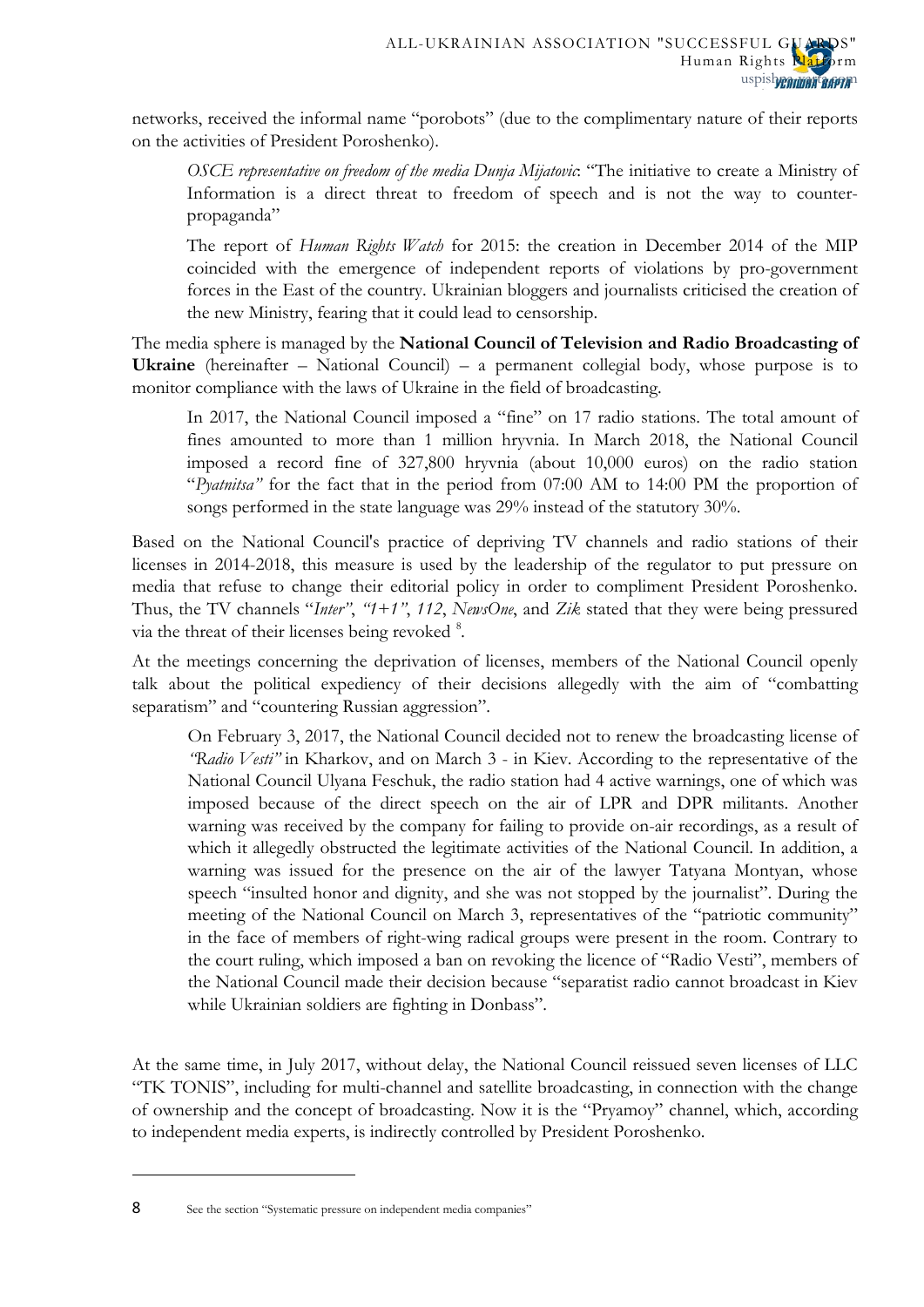networks, received the informal name "porobots" (due to the complimentary nature of their reports on the activities of President Poroshenko).

*OSCE representative on freedom of the media Dunja Mijatovic*: "The initiative to create a Ministry of Information is a direct threat to freedom of speech and is not the way to counterpropaganda"

The report of *Human Rights Watch* for 2015: the creation in December 2014 of the MIP coincided with the emergence of independent reports of violations by pro-government forces in the East of the country. Ukrainian bloggers and journalists criticised the creation of the new Ministry, fearing that it could lead to censorship.

The media sphere is managed by the **National Council of Television and Radio Broadcasting of Ukraine** (hereinafter – National Council) – a permanent collegial body, whose purpose is to monitor compliance with the laws of Ukraine in the field of broadcasting.

In 2017, the National Council imposed a "fine" on 17 radio stations. The total amount of fines amounted to more than 1 million hryvnia. In March 2018, the National Council imposed a record fine of 327,800 hryvnia (about 10,000 euros) on the radio station "*Pyatnitsa"* for the fact that in the period from 07:00 AM to 14:00 PM the proportion of songs performed in the state language was 29% instead of the statutory 30%.

Based on the National Council's practice of depriving TV channels and radio stations of their licenses in 2014-2018, this measure is used by the leadership of the regulator to put pressure on media that refuse to change their editorial policy in order to compliment President Poroshenko. Thus, the TV channels "*Inter"*, *"1+1"*, *112*, *NewsOne*, and *Zik* stated that they were being pressured via the threat of their licenses being revoked <sup>[8](#page-4-4)</sup>.

At the meetings concerning the deprivation of licenses, members of the National Council openly talk about the political expediency of their decisions allegedly with the aim of "combatting separatism" and "countering Russian aggression".

On February 3, 2017, the National Council decided not to renew the broadcasting license of *"Radio Vesti"* in Kharkov, and on March 3 - in Kiev. According to the representative of the National Council Ulyana Feschuk, the radio station had 4 active warnings, one of which was imposed because of the direct speech on the air of LPR and DPR militants. Another warning was received by the company for failing to provide on-air recordings, as a result of which it allegedly obstructed the legitimate activities of the National Council. In addition, a warning was issued for the presence on the air of the lawyer Tatyana Montyan, whose speech "insulted honor and dignity, and she was not stopped by the journalist". During the meeting of the National Council on March 3, representatives of the "patriotic community" in the face of members of right-wing radical groups were present in the room. Contrary to the court ruling, which imposed a ban on revoking the licence of "Radio Vesti", members of the National Council made their decision because "separatist radio cannot broadcast in Kiev while Ukrainian soldiers are fighting in Donbass".

At the same time, in July 2017, without delay, the National Council reissued seven licenses of LLC "TK TONIS", including for multi-channel and satellite broadcasting, in connection with the change of ownership and the concept of broadcasting. Now it is the "Pryamoy" channel, which, according to independent media experts, is indirectly controlled by President Poroshenko.

<span id="page-5-0"></span>8 See the section "Systematic pressure on independent media companies"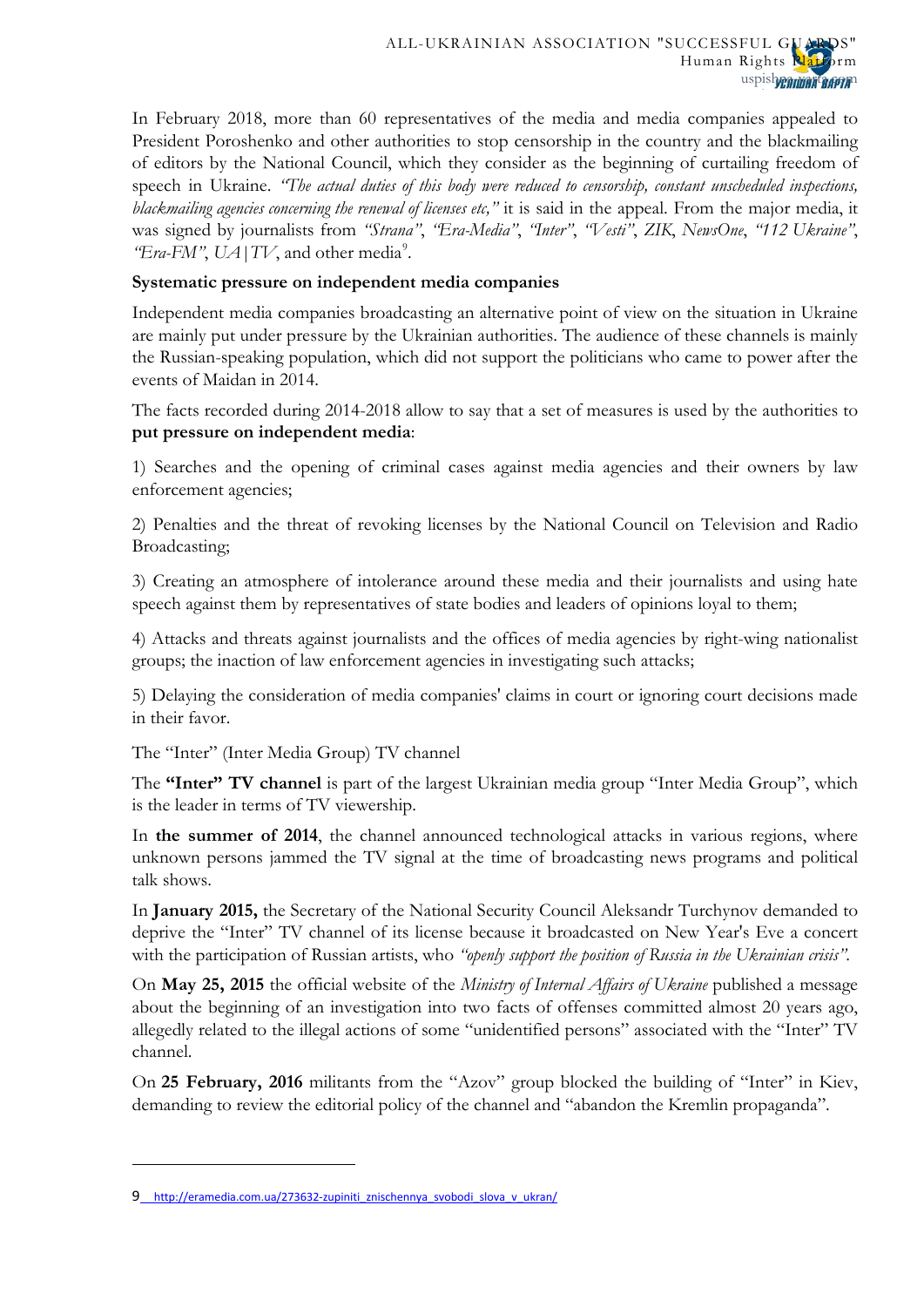In February 2018, more than 60 representatives of the media and media companies appealed to President Poroshenko and other authorities to stop censorship in the country and the blackmailing of editors by the National Council, which they consider as the beginning of curtailing freedom of speech in Ukraine. *"The actual duties of this body were reduced to censorship, constant unscheduled inspections, blackmailing agencies concerning the renewal of licenses etc,"* it is said in the appeal. From the major media, it was signed by journalists from *"Strana"*, *"Era-Media"*, *"Inter"*, *"Vesti"*, *ZIK*, *NewsOne*, *"112 Ukraine"*, *"Era-FM"*,  $UA | TV$ , and other media<sup>[9](#page-5-0)</sup>.

# **Systematic pressure on independent media companies**

Independent media companies broadcasting an alternative point of view on the situation in Ukraine are mainly put under pressure by the Ukrainian authorities. The audience of these channels is mainly the Russian-speaking population, which did not support the politicians who came to power after the events of Maidan in 2014.

The facts recorded during 2014-2018 allow to say that a set of measures is used by the authorities to **put pressure on independent media**:

1) Searches and the opening of criminal cases against media agencies and their owners by law enforcement agencies;

2) Penalties and the threat of revoking licenses by the National Council on Television and Radio Broadcasting;

3) Creating an atmosphere of intolerance around these media and their journalists and using hate speech against them by representatives of state bodies and leaders of opinions loyal to them;

4) Attacks and threats against journalists and the offices of media agencies by right-wing nationalist groups; the inaction of law enforcement agencies in investigating such attacks;

5) Delaying the consideration of media companies' claims in court or ignoring court decisions made in their favor.

The "Inter" (Inter Media Group) TV channel

The **"Inter" TV channel** is part of the largest Ukrainian media group "Inter Media Group", which is the leader in terms of TV viewership.

In **the summer of 2014**, the channel announced technological attacks in various regions, where unknown persons jammed the TV signal at the time of broadcasting news programs and political talk shows.

In **January 2015,** the Secretary of the National Security Council Aleksandr Turchynov demanded to deprive the "Inter" TV channel of its license because it broadcasted on New Year's Eve a concert with the participation of Russian artists, who *"openly support the position of Russia in the Ukrainian crisis"*.

On **May 25, 2015** the official website of the *Ministry of Internal Affairs of Ukraine* published a message about the beginning of an investigation into two facts of offenses committed almost 20 years ago, allegedly related to the illegal actions of some "unidentified persons" associated with the "Inter" TV channel.

On **25 February, 2016** [militants](http://gordonua.com/news/society/aktivisty-azova-zablokirovali-zdanie-telekanala-inter-121546.html) from the "Azov" group blocked the building of "Inter" in Kiev, demanding to review the editorial policy of the channel and "abandon the Kremlin propaganda".

<span id="page-6-0"></span> $\overline{a}$ 

<sup>9</sup> [http://eramedia.com.ua/273632-zupiniti\\_znischennya\\_svobodi\\_slova\\_v\\_ukran/](http://eramedia.com.ua/273632-zupiniti_znischennya_svobodi_slova_v_ukran/)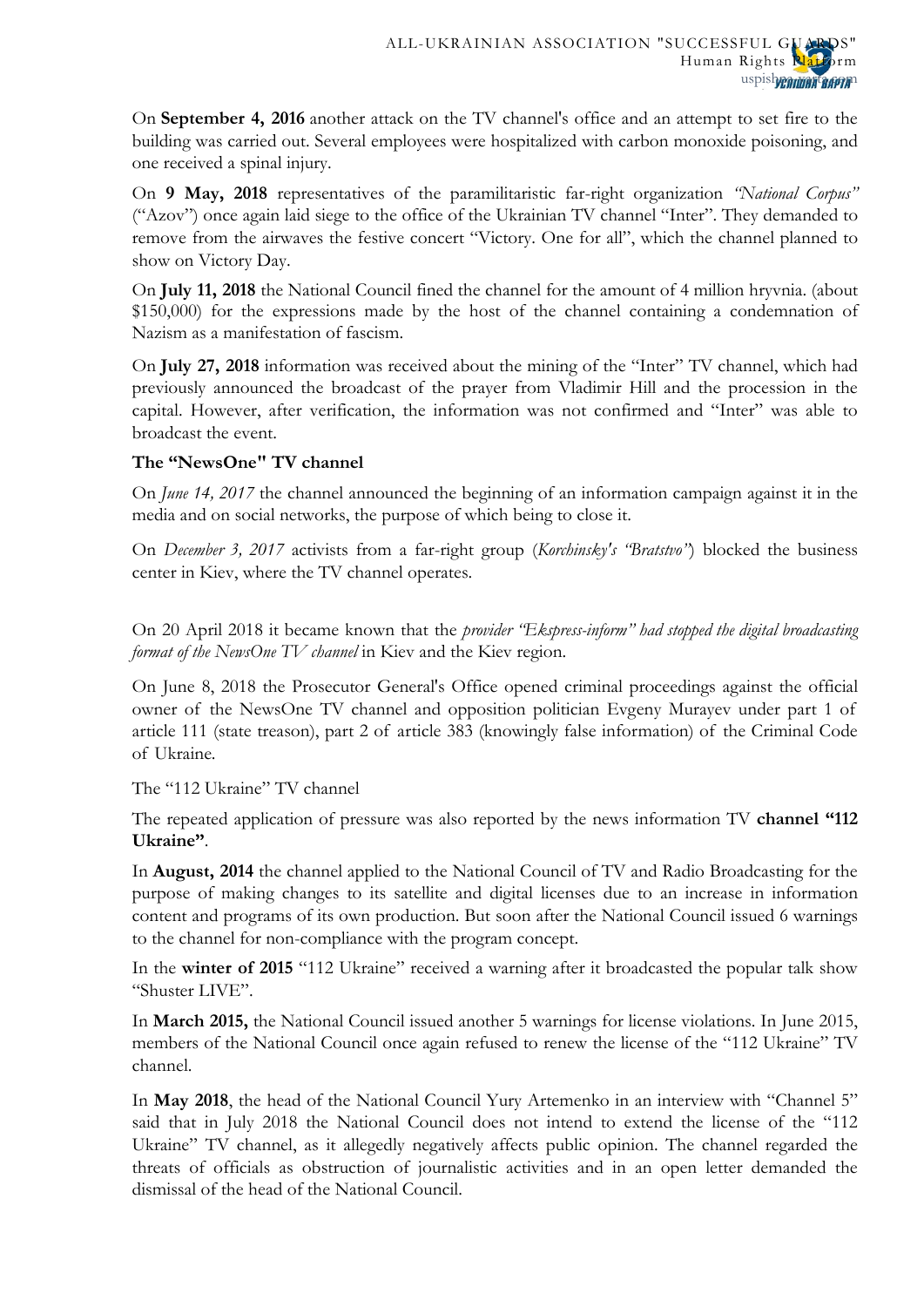On **September 4, 2016** another attack on the TV channel's office and an attempt to set fire to the building was carried out. Several employees were hospitalized with carbon monoxide poisoning, and one received a spinal injury.

On **9 May, 2018** representatives of the paramilitaristic far-right organization *"National Corpus"* ("Azov") once again laid siege to the office of the Ukrainian TV channel "Inter". They demanded to remove from the airwaves the festive concert "Victory. One for all", which the channel planned to show on Victory Day.

On **July 11, 2018** the National Council fined the channel for the amount of 4 million hryvnia. (about \$150,000) for the expressions made by the host of the channel containing a condemnation of Nazism as a manifestation of fascism.

On **July 27, 2018** information was received about the mining of the "Inter" TV channel, which had previously announced the broadcast of the prayer from Vladimir Hill and the procession in the capital. However, after verification, the information was not confirmed and "Inter" was able to broadcast the event.

# **The "NewsOne" TV channel**

On *June 14, 2017* the channel announced the beginning of an information campaign against it in the media and on social networks, the purpose of which being to close it.

On *December 3, 2017* activists from a far-right group (*Korchinsky's "Bratstvo"*) blocked the business center in Kiev, where the TV channel operates.

On 20 April 2018 it became known that the *provider "Ekspress-inform" had stopped the digital broadcasting format of the NewsOne TV channel* in Kiev and the Kiev region.

On June 8, 2018 the Prosecutor General's Office opened criminal proceedings against the official owner of the NewsOne TV channel and opposition politician Evgeny Murayev under part 1 of article 111 (state treason), part 2 of article 383 (knowingly false information) of the Criminal Code of Ukraine.

The "112 Ukraine" TV channel

The repeated application of pressure was also reported by the news information TV **channel "112 Ukraine"**.

In **August, 2014** the channel applied to the National Council of TV and Radio Broadcasting for the purpose of making changes to its satellite and digital licenses due to an increase in information content and programs of its own production. But soon after the National Council issued 6 warnings to the channel for non-compliance with the program concept.

In the **winter of 2015** "112 Ukraine" received a warning after it broadcasted the popular talk show "Shuster LIVE".

In **March 2015,** the National Council issued another 5 warnings for license violations. In June 2015, members of the National Council once again refused to renew the license of the "112 Ukraine" TV channel.

In **May 2018**, the head of the National Council Yury Artemenko in an interview with "Channel 5" said that in July 2018 the National Council does not intend to extend the license of the "112 Ukraine" TV channel, as it allegedly negatively affects public opinion. The channel regarded the threats of officials as obstruction of journalistic activities and in an open letter demanded the dismissal of the head of the National Council.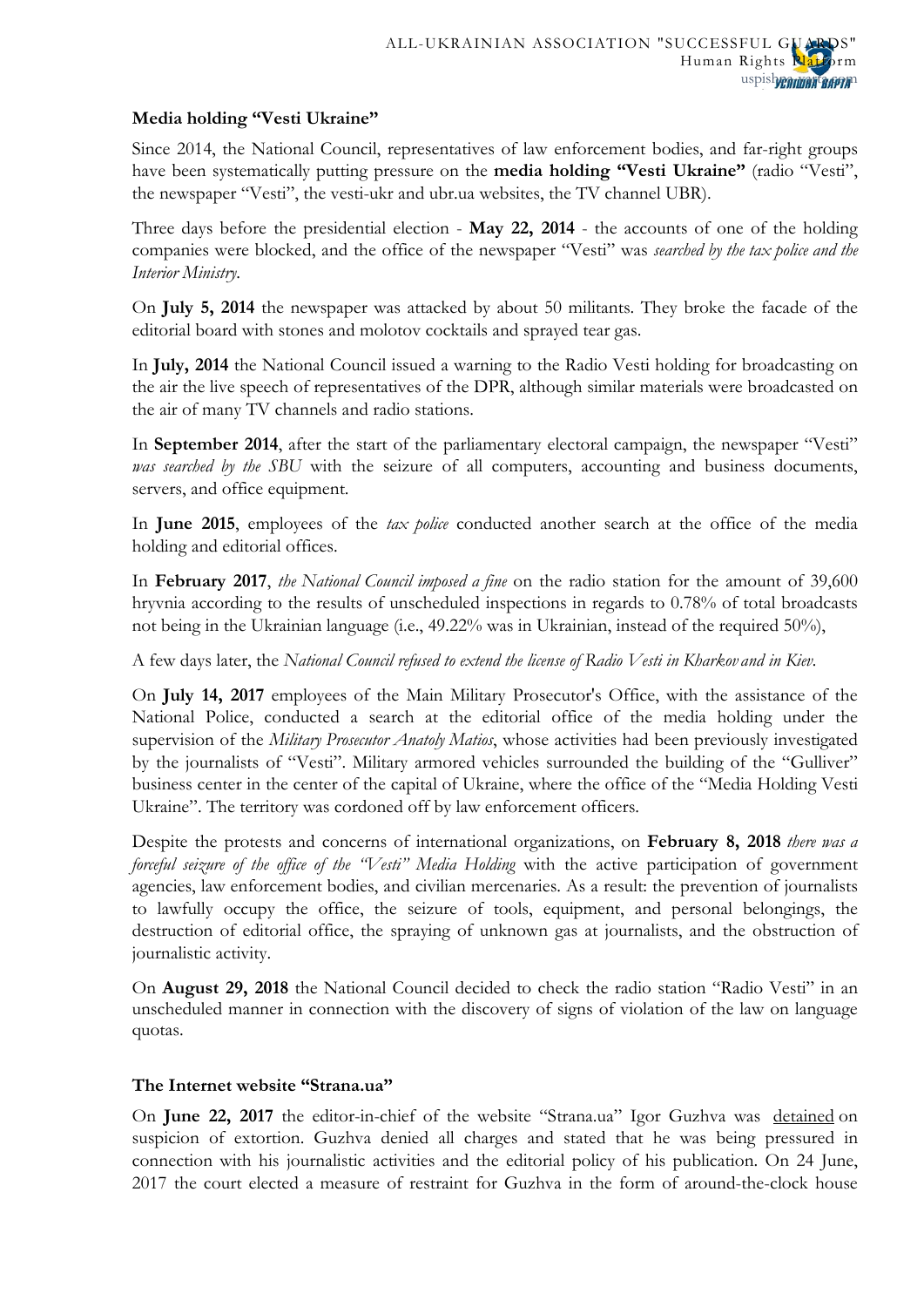# **Media holding "Vesti Ukraine"**

Since 2014, the National Council, representatives of law enforcement bodies, and far-right groups have been systematically putting pressure on the **media holding "Vesti Ukraine"** (radio "Vesti", the newspaper "Vesti", the vesti-ukr and ubr.ua websites, the TV channel UBR).

Three days before the presidential election - **May 22, 2014** - the accounts of one of the holding companies were blocked, and the office of the newspaper "Vesti" was *searched by the tax police and the Interior Ministry*.

On **July 5, 2014** the newspaper was attacked by about 50 militants. They broke the facade of the editorial board with stones and molotov cocktails and sprayed tear gas.

In **July, 2014** the National Council issued a warning to the Radio Vesti holding for broadcasting on the air the live speech of representatives of the DPR, although similar materials were broadcasted on the air of many TV channels and radio stations.

In **September 2014**, after the start of the parliamentary electoral campaign, the newspaper "Vesti" *was searched by the SBU* with the seizure of all computers, accounting and business documents, servers, and office equipment.

In **June 2015**, employees of the *tax police* conducted another search at the office of the media holding and editorial offices.

In **February 2017**, *the National Council imposed a fine* on the radio station for the amount of 39,600 hryvnia according to the results of unscheduled inspections in regards to 0.78% of total broadcasts not being in the Ukrainian language (i.e., 49.22% was in Ukrainian, instead of the required 50%),

A few days later, the *National Council refused to extend the license of Radio Vesti in Kharkov and in Kiev.*

On **July 14, 2017** employees of the Main Military Prosecutor's Office, with the assistance of the National Police, conducted a search at the editorial office of the media holding under the supervision of the *Military Prosecutor Anatoly Matios*, whose activities had been previously investigated by the journalists of "Vesti". Military armored vehicles surrounded the building of the "Gulliver" business center in the center of the capital of Ukraine, where the office of the "Media Holding Vesti Ukraine". The territory was cordoned off by law enforcement officers.

Despite the protests and concerns of international organizations, on **February 8, 2018** *there was a forceful seizure of the office of the "Vesti" Media Holding* with the active participation of government agencies, law enforcement bodies, and civilian mercenaries. As a result: the prevention of journalists to lawfully occupy the office, the seizure of tools, equipment, and personal belongings, the destruction of editorial office, the spraying of unknown gas at journalists, and the obstruction of journalistic activity.

On **August 29, 2018** the National Council decided to check the radio station "Radio Vesti" in an unscheduled manner in connection with the discovery of signs of violation of the law on language quotas.

### **The Internet website "Strana.ua"**

On **June 22, 2017** the editor-in-chief of the website "Strana.ua" Igor Guzhva was [detained](https://www.kommersant.ru/doc/3332302) on suspicion of extortion. Guzhva denied all charges and stated that he was being pressured in connection with his journalistic activities and the editorial policy of his publication. On 24 June, 2017 the court elected a measure of restraint for Guzhva in the form of around-the-clock house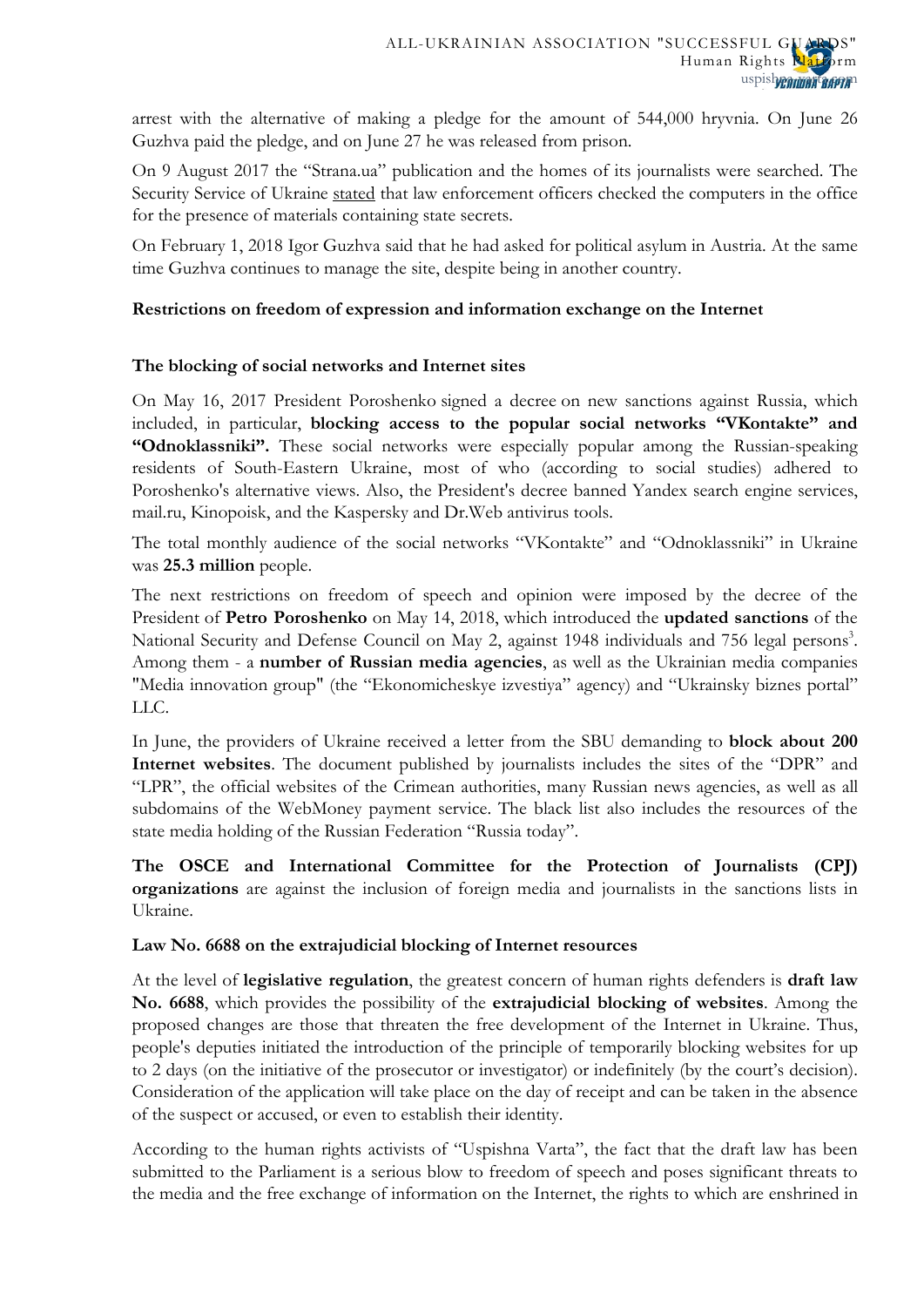arrest with the alternative of making a pledge for the amount of 544,000 hryvnia. On June 26 Guzhva paid the pledge, and on June 27 he was released from prison.

On 9 August 2017 the "Strana.ua" publication and the homes of its journalists were searched. The Security Service of Ukraine [stated](https://www.facebook.com/giolena11/posts/1400576376657503?pnref=story) that law enforcement officers checked the computers in the office for the presence of materials containing state secrets.

On February 1, 2018 Igor Guzhva said that he had asked for political asylum in Austria. At the same time Guzhva continues to manage the site, despite being in another country.

# **Restrictions on freedom of expression and information exchange on the Internet**

# **The blocking of social networks and Internet sites**

On May 16, 2017 President Poroshenko [signed a decree](https://vesti-ukr.com/strana/238532-poroshenko-zapretil-vkontakte-jandeks-i-odnoklassniki-v-ukraine-) on new sanctions against Russia, which included, in particular, **blocking access to the popular social networks "VKontakte" and "Odnoklassniki".** These social networks were especially popular among the Russian-speaking residents of South-Eastern Ukraine, most of who (according to social studies) adhered to Poroshenko's alternative views. Also, the President's decree banned Yandex search engine services, mail.ru, Kinopoisk, and the Kaspersky and Dr.Web antivirus tools.

The total monthly audience of the social networks "VKontakte" and "Odnoklassniki" in Ukraine was **25.3 million** people.

The next restrictions on freedom of speech and opinion were imposed by the decree of the President of **Petro Poroshenko** on May 14, 2018, which introduced the **updated sanctions** of the National Security and Defense Council on May 2, against 1948 individuals and 756 legal persons<sup>3</sup>. Among them - a **number of Russian media agencies**, as well as the Ukrainian media companies "Media innovation group" (the "Ekonomicheskye izvestiya" agency) and "Ukrainsky biznes portal" LLC.

In June, the providers of Ukraine received a letter from the SBU demanding to **block about 200 Internet websites**. The document published by journalists includes the sites of the "DPR" and "LPR", the official websites of the Crimean authorities, many Russian news agencies, as well as all subdomains of the WebMoney payment service. The black list also includes the resources of the state media holding of the Russian Federation "Russia today".

**The OSCE and International Committee for the Protection of Journalists (CPJ) organizations** are against the inclusion of foreign media and journalists in the sanctions lists in Ukraine.

### **Law No. 6688 on the extrajudicial blocking of Internet resources**

At the level of **legislative regulation**, the greatest concern of human rights defenders is **draft law No. 6688**, which provides the possibility of the **extrajudicial blocking of websites**. Among the proposed changes are those that threaten the free development of the Internet in Ukraine. Thus, people's deputies initiated the introduction of the principle of temporarily blocking websites for up to 2 days (on the initiative of the prosecutor or investigator) or indefinitely (by the court's decision). Consideration of the application will take place on the day of receipt and can be taken in the absence of the suspect or accused, or even to establish their identity.

According to the human rights activists of "Uspishna Varta", the fact that the draft law has been submitted to the Parliament is a serious blow to freedom of speech and poses significant threats to the media and the free exchange of information on the Internet, the rights to which are enshrined in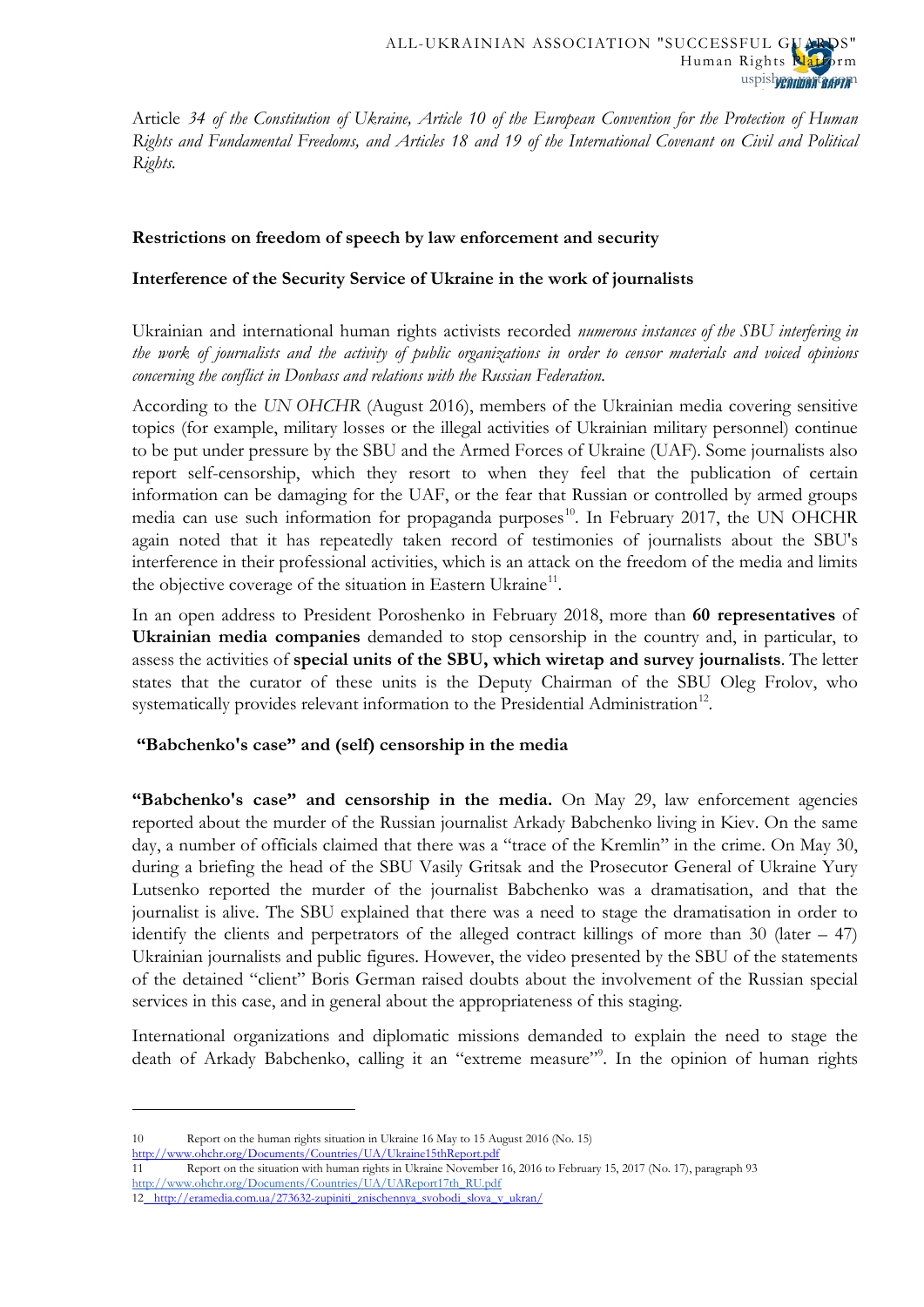Article *34 of the Constitution of Ukraine, Article 10 of the European Convention for the Protection of Human Rights and Fundamental Freedoms, and Articles 18 and 19 of the International Covenant on Civil and Political Rights.*

## **Restrictions on freedom of speech by law enforcement and security**

# **Interference of the Security Service of Ukraine in the work of journalists**

Ukrainian and international human rights activists recorded *numerous instances of the SBU interfering in the work of journalists and the activity of public organizations in order to censor materials and voiced opinions concerning the conflict in Donbass and relations with the Russian Federation.*

According to the *UN OHCHR* (August 2016), members of the Ukrainian media covering sensitive topics (for example, military losses or the illegal activities of Ukrainian military personnel) continue to be put under pressure by the SBU and the Armed Forces of Ukraine (UAF). Some journalists also report self-censorship, which they resort to when they feel that the publication of certain information can be damaging for the UAF, or the fear that Russian or controlled by armed groups media can use such information for propaganda purposes [10.](#page-6-0) In February 2017, the UN OHCHR again noted that it has repeatedly taken record of testimonies of journalists about the SBU's interference in their professional activities, which is an attack on the freedom of the media and limits the objective coverage of the situation in Eastern Ukraine<sup>11</sup>.

In an open address to President Poroshenko in February 2018, more than **60 representatives** of **Ukrainian media companies** demanded to stop censorship in the country and, in particular, to assess the activities of **special units of the SBU, which wiretap and survey journalists**. The letter states that the curator of these units is the Deputy Chairman of the SBU Oleg Frolov, who systematically provides relevant information to the Presidential Administration<sup>12</sup>.

### **"Babchenko's case" and (self) censorship in the media**

**"Babchenko's case" and censorship in the media.** On May 29, law enforcement agencies reported about the murder of the Russian journalist Arkady Babchenko living in Kiev. On the same day, a number of officials claimed that there was a "trace of the Kremlin" in the crime. On May 30, during a briefing the head of the SBU Vasily Gritsak and the Prosecutor General of Ukraine Yury Lutsenko reported the murder of the journalist Babchenko was a dramatisation, and that the journalist is alive. The SBU explained that there was a need to stage the dramatisation in order to identify the clients and perpetrators of the alleged contract killings of more than 30 (later – 47) Ukrainian journalists and public figures. However, the video presented by the SBU of the statements of the detained "client" Boris German raised doubts about the involvement of the Russian special services in this case, and in general about the appropriateness of this staging.

International organizations and diplomatic missions demanded to explain the need to stage the death of Arkady Babchenko, calling it an "extreme measure". In the opinion of human rights

**.** 

<span id="page-10-0"></span>11 Report on the situation with human rights in Ukraine November 16, 2016 to February 15, 2017 (No. 17), paragraph 93 [http://www.ohchr.org/Documents/Countries/UA/UAReport17th\\_RU.pdf](http://www.ohchr.org/Documents/Countries/UA/UAReport17th_RU.pdf)

<sup>10</sup> Report on the human rights situation in Ukraine 16 May to 15 August 2016 (No. 15)

<http://www.ohchr.org/Documents/Countries/UA/Ukraine15thReport.pdf><br>11 Report on the situation with buman rights in Ukraine November

<span id="page-10-2"></span><span id="page-10-1"></span><sup>12</sup> [http://eramedia.com.ua/273632-zupiniti\\_znischennya\\_svobodi\\_slova\\_v\\_ukran/](http://eramedia.com.ua/273632-zupiniti_znischennya_svobodi_slova_v_ukran/)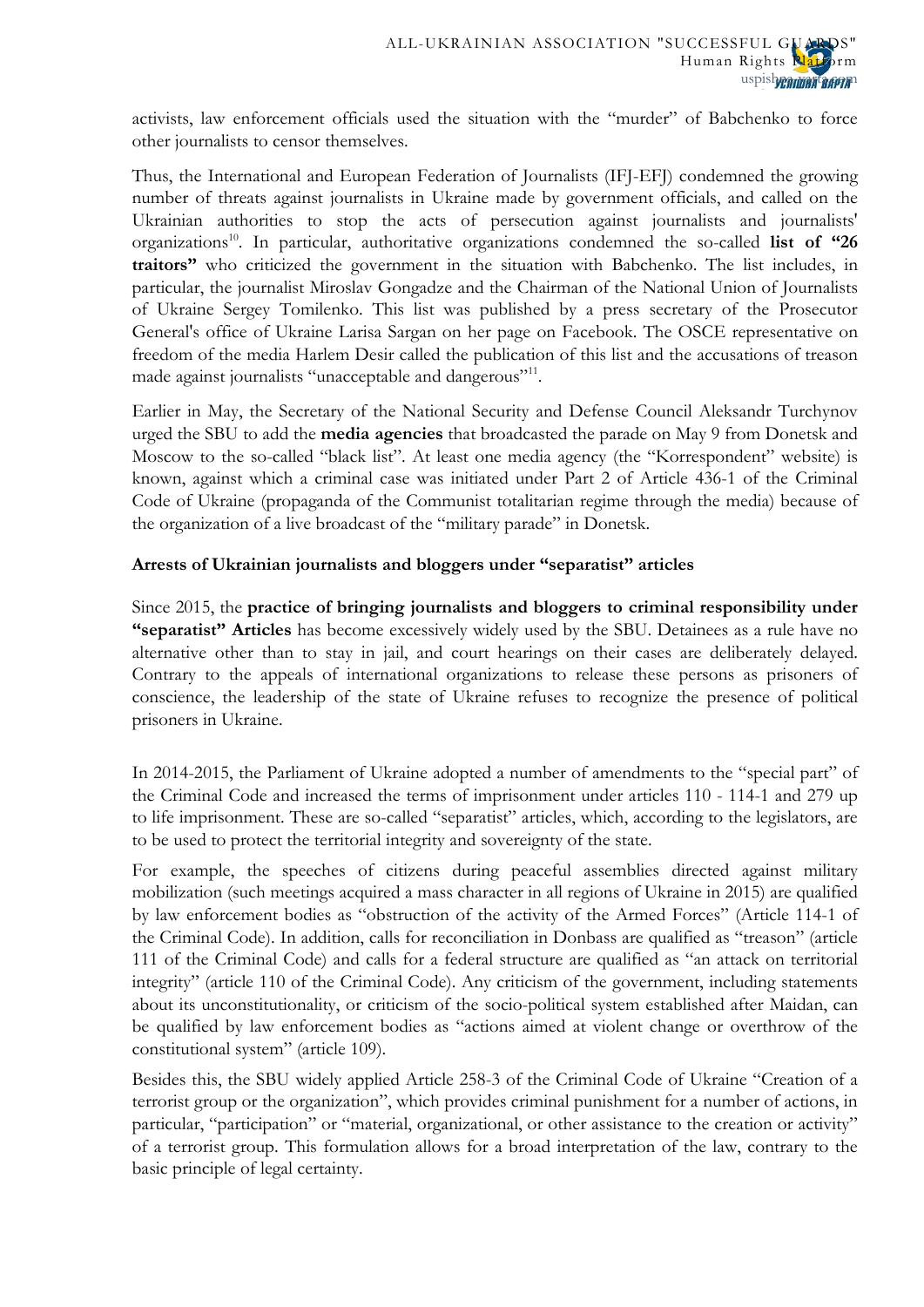activists, law enforcement officials used the situation with the "murder" of Babchenko to force other journalists to censor themselves.

Thus, the International and European Federation of Journalists (IFJ-EFJ) condemned the growing number of threats against journalists in Ukraine made by government officials, and called on the Ukrainian authorities to stop the acts of persecution against journalists and journalists' organizations<sup>10</sup>. In particular, authoritative organizations condemned the so-called **list of "26 traitors"** who criticized the government in the situation with Babchenko. The list includes, in particular, the journalist Miroslav Gongadze and the Chairman of the National Union of Journalists of Ukraine Sergey Tomilenko. This list was published by a press secretary of the Prosecutor General's office of Ukraine Larisa Sargan on her page on Facebook. The OSCE representative on freedom of the media Harlem Desir called the publication of this list and the accusations of treason made against journalists "unacceptable and dangerous"<sup>11</sup>.

Earlier in May, the Secretary of the National Security and Defense Council Aleksandr Turchynov urged the SBU to add the **media agencies** that broadcasted the parade on May 9 from Donetsk and Moscow to the so-called "black list". At least one media agency (the "Korrespondent" website) is known, against which a criminal case was initiated under Part 2 of Article 436-1 of the Criminal Code of Ukraine (propaganda of the Communist totalitarian regime through the media) because of the organization of a live broadcast of the "military parade" in Donetsk.

# **Arrests of Ukrainian journalists and bloggers under "separatist" articles**

Since 2015, the **practice of bringing journalists and bloggers to criminal responsibility under "separatist" Articles** has become excessively widely used by the SBU. Detainees as a rule have no alternative other than to stay in jail, and court hearings on their cases are deliberately delayed. Contrary to the appeals of international organizations to release these persons as prisoners of conscience, the leadership of the state of Ukraine refuses to recognize the presence of political prisoners in Ukraine.

In 2014-2015, the Parliament of Ukraine adopted a number of amendments to the "special part" of the Criminal Code and increased the terms of imprisonment under articles 110 - 114-1 and 279 up to life imprisonment. These are so-called "separatist" articles, which, according to the legislators, are to be used to protect the territorial integrity and sovereignty of the state.

For example, the speeches of citizens during peaceful assemblies directed against military mobilization (such meetings acquired a mass character in all regions of Ukraine in 2015) are qualified by law enforcement bodies as "obstruction of the activity of the Armed Forces" (Article 114-1 of the Criminal Code). In addition, calls for reconciliation in Donbass are qualified as "treason" (article 111 of the Criminal Code) and calls for a federal structure are qualified as "an attack on territorial integrity" (article 110 of the Criminal Code). Any criticism of the government, including statements about its unconstitutionality, or criticism of the socio-political system established after Maidan, can be qualified by law enforcement bodies as "actions aimed at violent change or overthrow of the constitutional system" (article 109).

Besides this, the SBU widely applied Article 258-3 of the Criminal Code of Ukraine "Creation of a terrorist group or the organization", which provides criminal punishment for a number of actions, in particular, "participation" or "material, organizational, or other assistance to the creation or activity" of a terrorist group. This formulation allows for a broad interpretation of the law, contrary to the basic principle of legal certainty.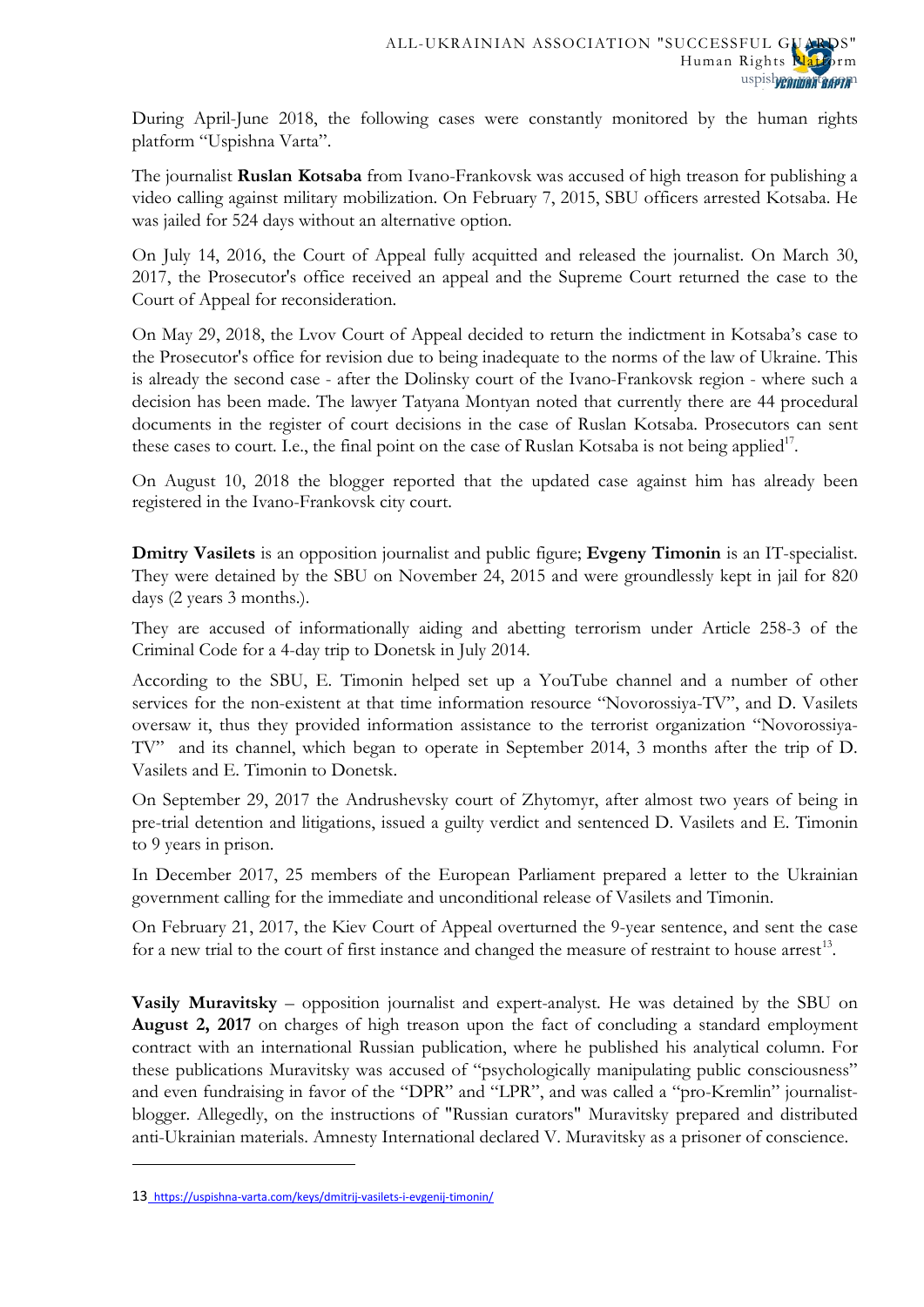During April-June 2018, the following cases were constantly monitored by the human rights platform "Uspishna Varta".

The journalist **Ruslan Kotsaba** from Ivano-Frankovsk was accused of high treason for publishing a video calling against military mobilization. On February 7, 2015, SBU officers arrested Kotsaba. He was jailed for 524 days without an alternative option.

On July 14, 2016, the Court of Appeal fully acquitted and released the journalist. On March 30, 2017, the Prosecutor's office received an appeal and the Supreme Court returned the case to the Court of Appeal for reconsideration.

On May 29, 2018, the Lvov Court of Appeal decided to return the indictment in Kotsaba's case to the Prosecutor's office for revision due to being inadequate to the norms of the law of Ukraine. This is already the second case - after the Dolinsky court of the Ivano-Frankovsk region - where such a decision has been made. The lawyer Tatyana Montyan noted that currently there are 44 procedural documents in the register of court decisions in the case of Ruslan Kotsaba. Prosecutors can sent these cases to court. I.e., the final point on the case of Ruslan Kotsaba is not being applied<sup>17</sup>.

On August 10, 2018 the blogger reported that the updated case against him has already been registered in the Ivano-Frankovsk city court.

**Dmitry Vasilets** is an opposition journalist and public figure; **Evgeny Timonin** is an IT-specialist. They were detained by the SBU on November 24, 2015 and were groundlessly kept in jail for 820 days (2 years 3 months.).

They are accused of informationally aiding and abetting terrorism under Article 258-3 of the Criminal Code for a 4-day trip to Donetsk in July 2014.

According to the SBU, E. Timonin helped set up a YouTube channel and a number of other services for the non-existent at that time information resource "Novorossiya-TV", and D. Vasilets oversaw it, thus they provided information assistance to the terrorist organization "Novorossiya-TV" and its channel, which began to operate in September 2014, 3 months after the trip of D. Vasilets and E. Timonin to Donetsk.

On September 29, 2017 the Andrushevsky court of Zhytomyr, after almost two years of being in pre-trial detention and litigations, issued a guilty verdict and sentenced D. Vasilets and E. Timonin to 9 years in prison.

In December 2017, 25 members of the European Parliament prepared a letter to the Ukrainian government calling for the immediate and unconditional release of Vasilets and Timonin.

On February 21, 2017, the Kiev Court of Appeal overturned the 9-year sentence, and sent the case for a new trial to the court of first instance and changed the measure of restraint to house arrest<sup>[13](#page-10-2)</sup>.

**Vasily Muravitsky** – opposition journalist and expert-analyst. He was detained by the SBU on **August 2, 2017** on charges of high treason upon the fact of concluding a standard employment contract with an international Russian publication, where he published his analytical column. For these publications Muravitsky was accused of "psychologically manipulating public consciousness" and even fundraising in favor of the "DPR" and "LPR", and was called a "pro-Kremlin" journalistblogger. Allegedly, on the instructions of "Russian curators" Muravitsky prepared and distributed anti-Ukrainian materials. Amnesty International declared V. Muravitsky as a prisoner of conscience.

 $\overline{a}$ 

<span id="page-12-0"></span><sup>13</sup> <https://uspishna-varta.com/keys/dmitrij-vasilets-i-evgenij-timonin/>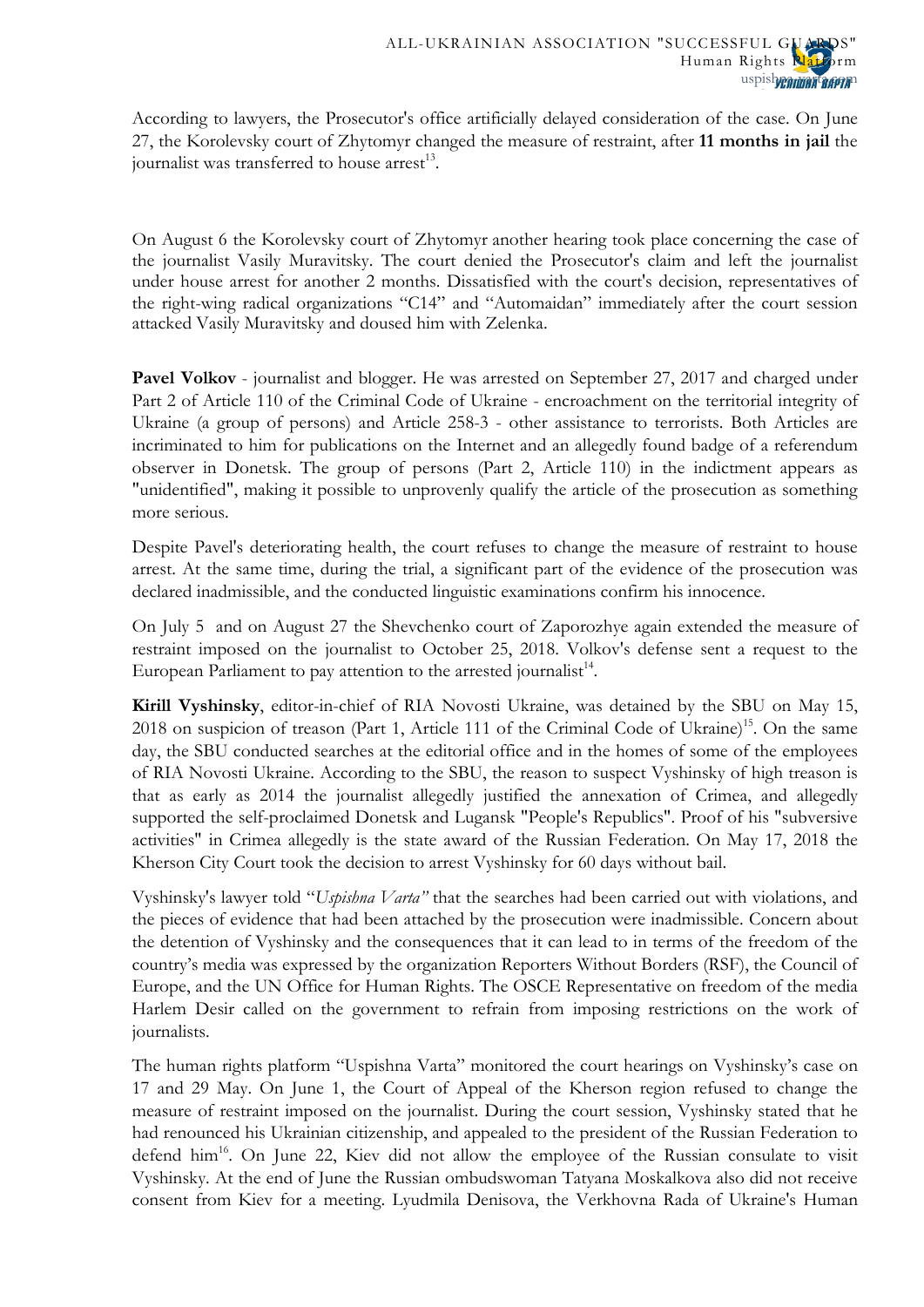According to lawyers, the Prosecutor's office artificially delayed consideration of the case. On June 27, the Korolevsky court of Zhytomyr changed the measure of restraint, after **11 months in jail** the journalist was transferred to house  $arrest<sup>13</sup>$ .

On August 6 the Korolevsky court of Zhytomyr [another hearing took place](https://uspishna-varta.com/ru/novyny/posle-suda-na-muravickogo-napali-radikaly) concerning the case of the journalist Vasily Muravitsky. The court denied the Prosecutor's claim and left the journalist under house arrest for another 2 months. Dissatisfied with the court's decision, representatives of the right-wing radical organizations "C14" and "Automaidan" immediately after the court session attacked Vasily Muravitsky and doused him with Zelenka.

**Pavel Volkov** - journalist and blogger. He was arrested on September 27, 2017 and charged under Part 2 of Article 110 of the Criminal Code of Ukraine - encroachment on the territorial integrity of Ukraine (a group of persons) and Article 258-3 - other assistance to terrorists. Both Articles are incriminated to him for publications on the Internet and an allegedly found badge of a referendum observer in Donetsk. The group of persons (Part 2, Article 110) in the indictment appears as "unidentified", making it possible to unprovenly qualify the article of the prosecution as something more serious.

Despite Pavel's deteriorating health, the court refuses to change the measure of restraint to house arrest. At the same time, during the trial, a significant part of the evidence of the prosecution was declared inadmissible, and the conducted linguistic examinations confirm his innocence.

On July 5 and on August 27 the Shevchenko court of Zaporozhye again extended the measure of restraint imposed on the journalist to October 25, 2018. Volkov's defense sent a request to the European Parliament to pay attention to the arrested journalist<sup>14</sup>.

**Kirill Vyshinsky**, editor-in-chief of RIA Novosti Ukraine, was detained by the SBU on May 15, 2018 on suspicion of treason (Part 1, Article 111 of the Criminal Code of Ukraine)<sup>15</sup>. On the same day, the SBU conducted searches at the editorial office and in the homes of some of the employees of RIA Novosti Ukraine. According to the SBU, the reason to suspect Vyshinsky of high treason is that as early as 2014 the journalist allegedly justified the annexation of Crimea, and allegedly supported the self-proclaimed Donetsk and Lugansk "People's Republics". Proof of his "subversive activities" in Crimea allegedly is the state award of the Russian Federation. On May 17, 2018 the Kherson City Court took the decision to arrest Vyshinsky for 60 days without bail.

Vyshinsky's lawyer told "*Uspishna Varta"* that the searches had been carried out with violations, and the pieces of evidence that had been attached by the prosecution were inadmissible. Concern about the detention of Vyshinsky and the consequences that it can lead to in terms of the freedom of the country's media was expressed by the organization Reporters Without Borders (RSF), the Council of Europe, and the UN Office for Human Rights. The OSCE Representative on freedom of the media Harlem Desir called on the government to refrain from imposing restrictions on the work of journalists.

The human rights platform "Uspishna Varta" monitored the court hearings on Vyshinsky's case on 17 and 29 May. On June 1, the Court of Appeal of the Kherson region refused to change the measure of restraint imposed on the journalist. During the court session, Vyshinsky stated that he had renounced his Ukrainian citizenship, and appealed to the president of the Russian Federation to defend him<sup>16</sup>. On June 22, Kiev did not allow the employee of the Russian consulate to visit Vyshinsky. At the end of June the Russian ombudswoman Tatyana Moskalkova also did not receive consent from Kiev for a meeting. Lyudmila Denisova, the Verkhovna Rada of Ukraine's Human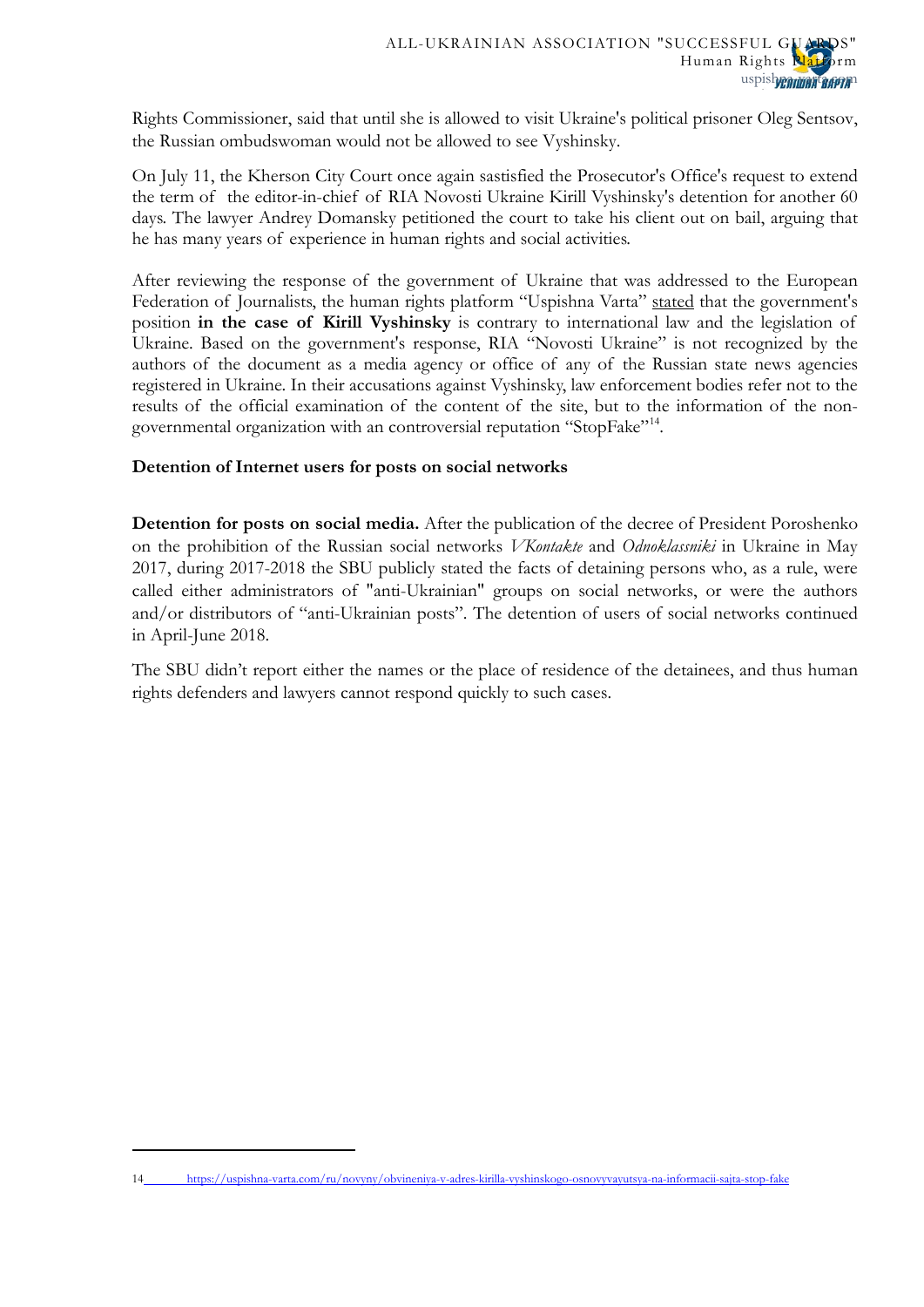Rights Commissioner, said that until she is allowed to visit Ukraine's political prisoner Oleg Sentsov, the Russian ombudswoman would not be allowed to see Vyshinsky.

On July 11, the Kherson City Court once again sastisfied the Prosecutor's Office's request to extend the term of the editor-in-chief of RIA Novosti Ukraine Kirill Vyshinsky's detention for another 60 days. The lawyer Andrey Domansky petitioned the court to take his client out on bail, arguing that he has many years of experience in human rights and social activities.

After reviewing the response of the government of Ukraine that was addressed to the European Federation of Journalists, the human rights platform "Uspishna Varta" [stated](https://uspishna-varta.com/ru/novyny/obvineniya-v-adres-kirilla-vyshinskogo-osnovyvayutsya-na-informacii-sajta-stop-fake) that the government's position **in the case of Kirill Vyshinsky** is contrary to international law and the legislation of Ukraine. Based on the government's response, RIA "Novosti Ukraine" is not recognized by the authors of the document as a media agency or office of any of the Russian state news agencies registered in Ukraine. In their accusations against Vyshinsky, law enforcement bodies refer not to the results of the official examination of the content of the site, but to the information of the non-governmental organization with an controversial reputation "StopFake"<sup>[14](#page-12-0)</sup>.

# **Detention of Internet users for posts on social networks**

**Detention for posts on social media.** After the publication of the decree of President Poroshenko on the prohibition of the Russian social networks *VKontakte* and *Odnoklassniki* in Ukraine in May 2017, during 2017-2018 the SBU publicly stated the facts of detaining persons who, as a rule, were called either administrators of "anti-Ukrainian" groups on social networks, or were the authors and/or distributors of "anti-Ukrainian posts". The detention of users of social networks continued in April-June 2018.

The SBU didn't report either the names or the place of residence of the detainees, and thus human rights defenders and lawyers cannot respond quickly to such cases.

<span id="page-14-0"></span><sup>14</sup> <https://uspishna-varta.com/ru/novyny/obvineniya-v-adres-kirilla-vyshinskogo-osnovyvayutsya-na-informacii-sajta-stop-fake>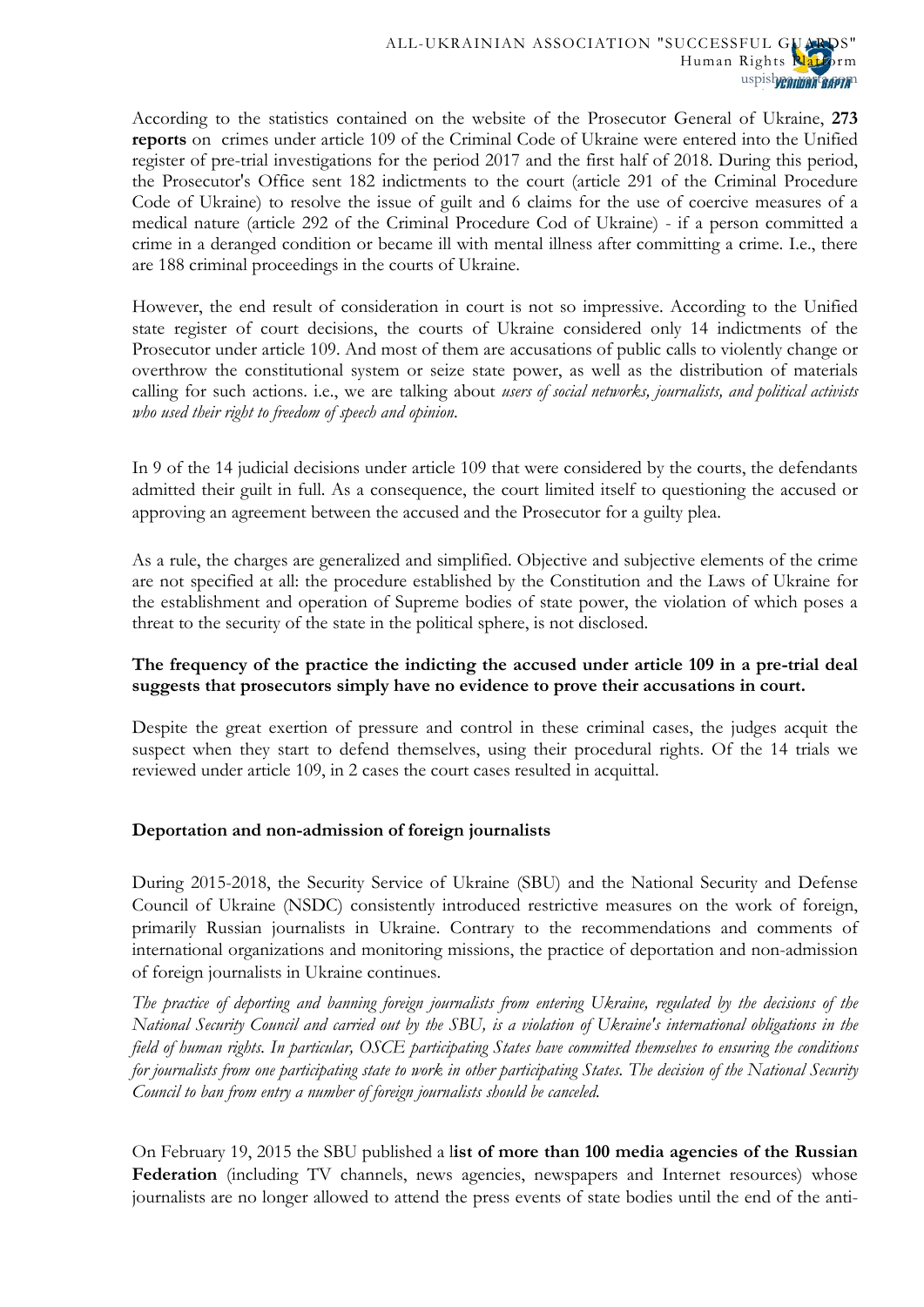According to the statistics contained on the website of the Prosecutor General of Ukraine, **273 reports** on crimes under article 109 of the Criminal Code of Ukraine were entered into the Unified register of pre-trial investigations for the period 2017 and the first half of 2018. During this period, the Prosecutor's Office sent 182 indictments to the court (article 291 of the Criminal Procedure Code of Ukraine) to resolve the issue of guilt and 6 claims for the use of coercive measures of a medical nature (article 292 of the Criminal Procedure Cod of Ukraine) - if a person committed a crime in a deranged condition or became ill with mental illness after committing a crime. I.e., there are 188 criminal proceedings in the courts of Ukraine.

However, the end result of consideration in court is not so impressive. According to the Unified state register of court decisions, the courts of Ukraine considered only 14 indictments of the Prosecutor under article 109. And most of them are accusations of public calls to violently change or overthrow the constitutional system or seize state power, as well as the distribution of materials calling for such actions. i.e., we are talking about *users of social networks, journalists, and political activists who used their right to freedom of speech and opinion*.

In 9 of the 14 judicial decisions under article 109 that were considered by the courts, the defendants admitted their guilt in full. As a consequence, the court limited itself to questioning the accused or approving an agreement between the accused and the Prosecutor for a guilty plea.

As a rule, the charges are generalized and simplified. Objective and subjective elements of the crime are not specified at all: the procedure established by the Constitution and the Laws of Ukraine for the establishment and operation of Supreme bodies of state power, the violation of which poses a threat to the security of the state in the political sphere, is not disclosed.

# **The frequency of the practice the indicting the accused under article 109 in a pre-trial deal suggests that prosecutors simply have no evidence to prove their accusations in court.**

Despite the great exertion of pressure and control in these criminal cases, the judges acquit the suspect when they start to defend themselves, using their procedural rights. Of the 14 trials we reviewed under article 109, in 2 cases the court cases resulted in acquittal.

### **Deportation and non-admission of foreign journalists**

During 2015-2018, the Security Service of Ukraine (SBU) and the National Security and Defense Council of Ukraine (NSDC) consistently introduced restrictive measures on the work of foreign, primarily Russian journalists in Ukraine. Contrary to the recommendations and comments of international organizations and monitoring missions, the practice of deportation and non-admission of foreign journalists in Ukraine continues.

*The practice of deporting and banning foreign journalists from entering Ukraine, regulated by the decisions of the National Security Council and carried out by the SBU, is a violation of Ukraine's international obligations in the field of human rights. In particular, OSCE participating States have committed themselves to ensuring the conditions for journalists from one participating state to work in other participating States. The decision of the National Security Council to ban from entry a number of foreign journalists should be canceled.*

On February 19, 2015 the SBU published a l**ist of more than 100 media agencies of the Russian**  Federation (including TV channels, news agencies, newspapers and Internet resources) whose journalists are no longer allowed to attend the press events of state bodies until the end of the anti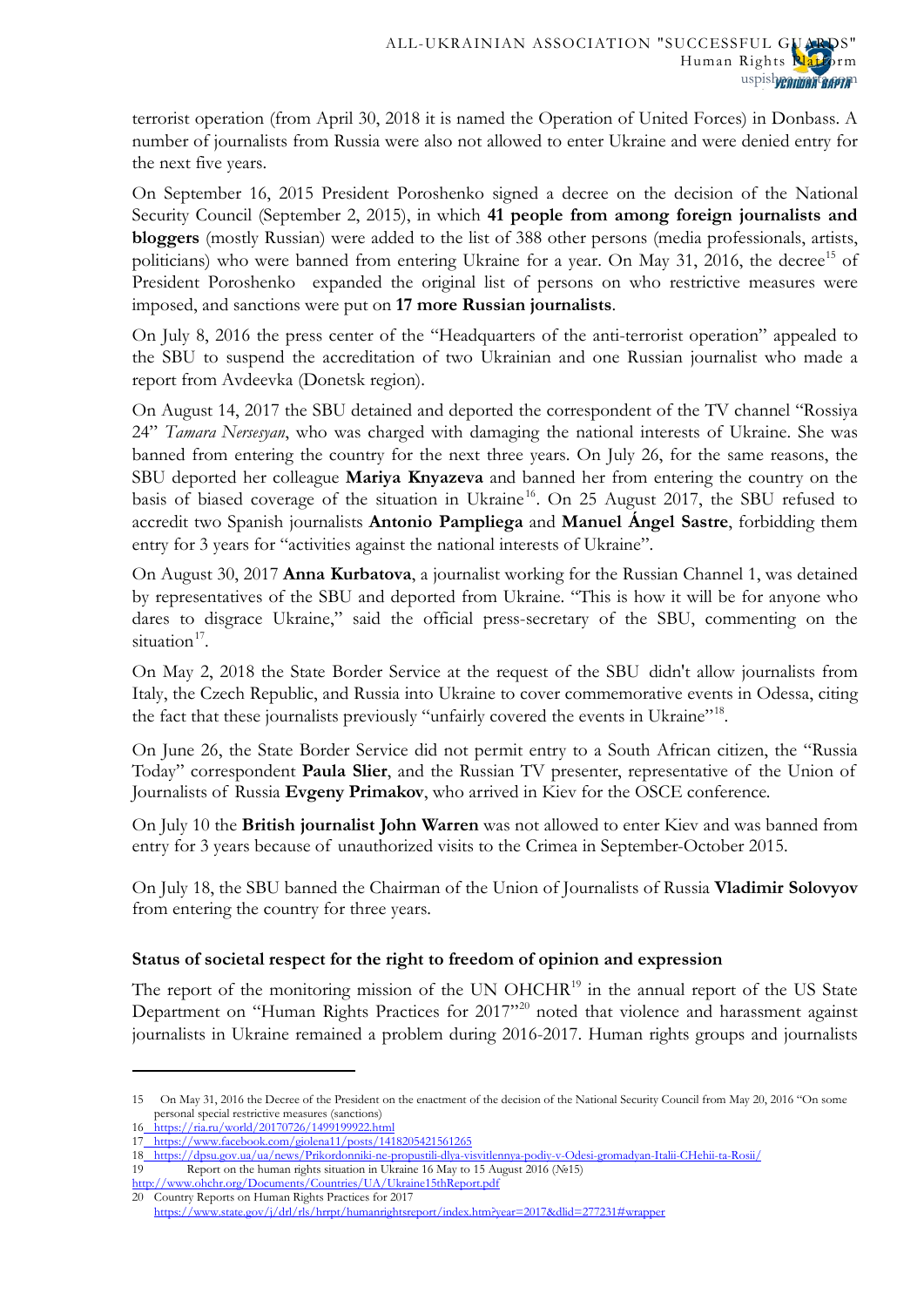terrorist operation (from April 30, 2018 it is named the Operation of United Forces) in Donbass. A number of journalists from Russia were also not allowed to enter Ukraine and were denied entry for the next five years.

On September 16, 2015 President Poroshenko signed a decree on the decision of the National Security Council (September 2, 2015), in which **41 people from among foreign journalists and bloggers** (mostly Russian) were added to the list of 388 other persons (media professionals, artists, politicians) who were banned from entering Ukraine for a year. On May 31, 2016, the decree<sup>[15](#page-14-0)</sup> of President Poroshenko expanded the original list of persons on who restrictive measures were imposed, and sanctions were put on **17 more Russian journalists**.

On July 8, 2016 the press center of the "Headquarters of the anti-terrorist operation" appealed to the SBU to suspend the accreditation of two Ukrainian and one Russian journalist who made a report from Avdeevka (Donetsk region).

On August 14, 2017 the SBU detained and deported the correspondent of the TV channel "Rossiya 24" *Tamara Nersesyan*, who was charged with damaging the national interests of Ukraine. She was banned from entering the country for the next three years. On July 26, for the same reasons, the SBU deported her colleague **Mariya Knyazeva** and banned her from entering the country on the basis of biased coverage of the situation in Ukraine<sup>[16](#page-16-0)</sup>. On 25 August 2017, the SBU refused to accredit two Spanish journalists **Antonio Pampliega** and **Manuel Ángel Sastre**, forbidding them entry for 3 years for "activities against the national interests of Ukraine".

On August 30, 2017 **Anna Kurbatova**, a journalist working for the Russian Channel 1, was detained by representatives of the SBU and deported from Ukraine. "This is how it will be for anyone who dares to disgrace Ukraine," said the official press-secretary of the SBU, commenting on the situation $17$ .

On May 2, 2018 the State Border Service at the request of the SBU [didn't allow](https://dpsu.gov.ua/ua/news/Prikordonniki-ne-propustili-dlya-visvitlennya-podiy-v-Odesi-gromadyan-Italii-CHehii-ta-Rosii/) journalists from Italy, the Czech Republic, and Russia into Ukraine to cover commemorative events in Odessa, citing the fact that these journalists previously "unfairly covered the events in Ukraine"<sup>18</sup>.

On June 26, the State Border Service did not permit entry to a South African citizen, the "Russia Today" correspondent **Paula Slier**, and the Russian TV presenter, representative of the Union of Journalists of Russia **Evgeny Primakov**, who arrived in Kiev for the OSCE conference.

On July 10 the **British journalist John Warren** was not allowed to enter Kiev and was banned from entry for 3 years because of unauthorized visits to the Crimea in September-October 2015.

On July 18, the SBU banned the Chairman of the Union of Journalists of Russia **Vladimir Solovyov** from entering the country for three years.

### **Status of societal respect for the right to freedom of opinion and expression**

The report of the monitoring mission of the UN OHCHR<sup>[19](#page-16-3)</sup> in the annual report of the US State Department on "Human Rights Practices for [20](#page-16-4)17"<sup>20</sup> noted that violence and harassment against journalists in Ukraine remained a problem during 2016-2017. Human rights groups and journalists

**.** 

<span id="page-16-5"></span><span id="page-16-4"></span><http://www.ohchr.org/Documents/Countries/UA/Ukraine15thReport.pdf>

<sup>15</sup> On May 31, 2016 the Decree of the President on the enactment of the decision of the National Security Council from May 20, 2016 "On some personal special restrictive measures (sanctions)

<span id="page-16-0"></span><https://ria.ru/world/20170726/1499199922.html> 17 <https://www.facebook.com/giolena11/posts/1418205421561265>

<span id="page-16-1"></span><sup>18</sup> <https://dpsu.gov.ua/ua/news/Prikordonniki-ne-propustili-dlya-visvitlennya-podiy-v-Odesi-gromadyan-Italii-CHehii-ta-Rosii/>

<span id="page-16-3"></span><span id="page-16-2"></span><sup>19</sup> Report on the human rights situation in Ukraine 16 May to 15 August 2016 (№15)

<sup>20&</sup>lt;sup>-</sup> Country Reports on Human Rights Practices for 2017 https://www.state.gov/j/drl/rls/hrrpt/humanrightsreport/index.htm?year=2017&dlid=277231#wrapper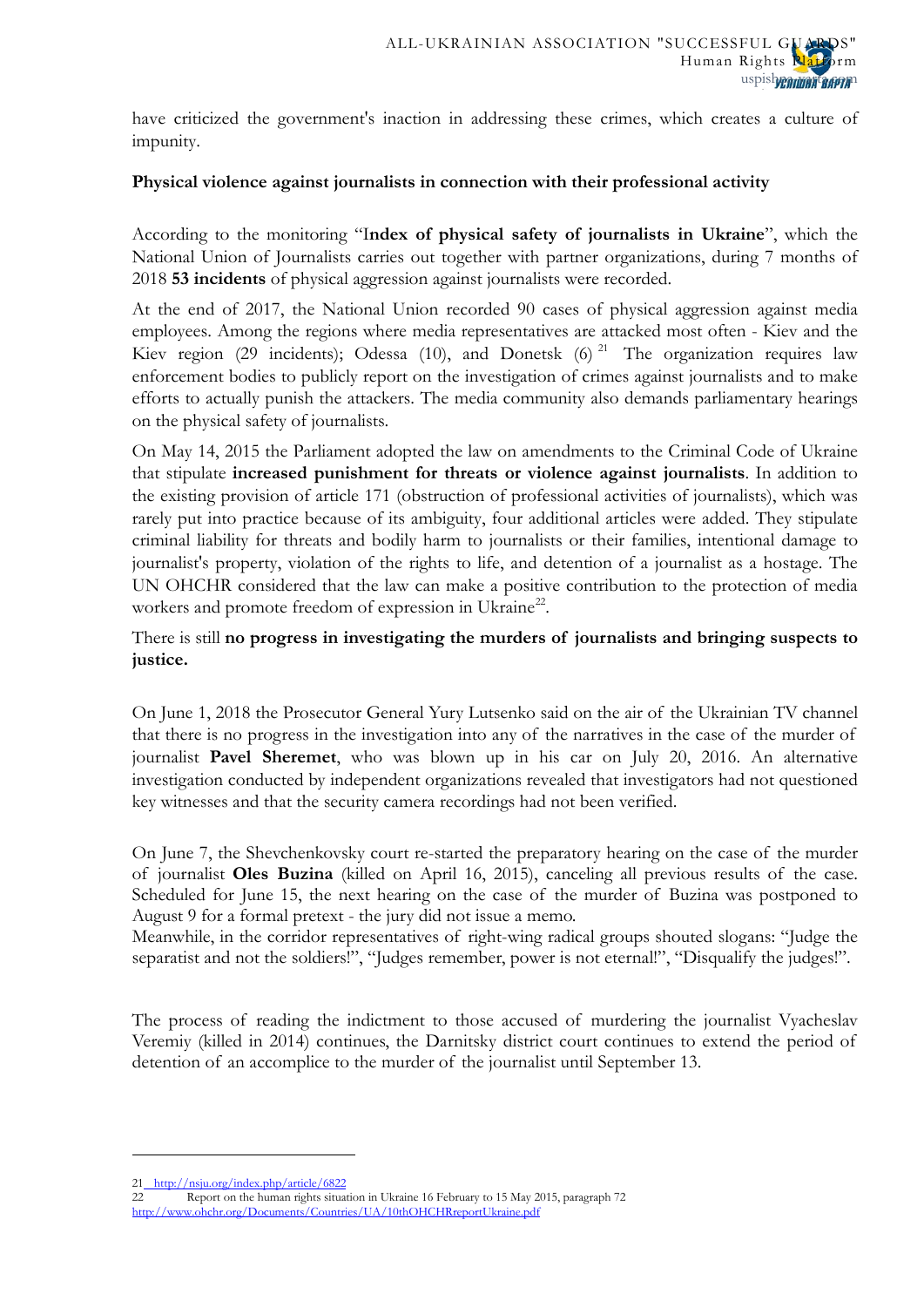have criticized the government's inaction in addressing these crimes, which creates a culture of impunity.

## **Physical violence against journalists in connection with their professional activity**

According to the monitoring "I**ndex of physical safety of journalists in Ukraine**", which the National Union of Journalists carries out together with partner organizations, during 7 months of 2018 **53 incidents** of physical aggression against journalists were recorded.

At the end of 2017, the National Union recorded 90 cases of physical aggression against media employees. Among the regions where media representatives are attacked most often - Kiev and the Kiev region (29 incidents); Odessa (10), and Donetsk (6)<sup>[21](#page-16-5)</sup> The organization requires law enforcement bodies to publicly report on the investigation of crimes against journalists and to make efforts to actually punish the attackers. The media community also demands parliamentary hearings on the physical safety of journalists.

On May 14, 2015 the Parliament adopted the law on amendments to the Criminal Code of Ukraine that stipulate **increased punishment for threats or violence against journalists**. In addition to the existing provision of article 171 (obstruction of professional activities of journalists), which was rarely put into practice because of its ambiguity, four additional articles were added. They stipulate criminal liability for threats and bodily harm to journalists or their families, intentional damage to journalist's property, violation of the rights to life, and detention of a journalist as a hostage. The UN OHCHR considered that the law can make a positive contribution to the protection of media workers and promote freedom of expression in Ukraine<sup>22</sup>.

There is still **no progress in investigating the murders of journalists and bringing suspects to justice.**

On June 1, 2018 the Prosecutor General Yury Lutsenko said on the air of the Ukrainian TV channel that there is no progress in the investigation into any of the narratives in the case of the murder of journalist **Pavel Sheremet**, who was blown up in his car on July 20, 2016. An alternative investigation conducted by independent organizations revealed that investigators had not questioned key witnesses and that the security camera recordings had not been verified.

On June 7, the Shevchenkovsky court re-started the preparatory hearing on the case of the murder of journalist **Oles Buzina** (killed on April 16, 2015), canceling all previous results of the case. Scheduled for June 15, the next hearing on the case of the murder of Buzina was postponed to August 9 for a formal pretext - the jury did not issue a memo.

Meanwhile, in the corridor representatives of right-wing radical groups shouted slogans: "Judge the separatist and not the soldiers!", "Judges remember, power is not eternal!", "Disqualify the judges!".

The process of reading the indictment to those accused of murdering the journalist Vyacheslav Veremiy (killed in 2014) continues, the Darnitsky district court continues to extend the period of detention of an accomplice to the murder of the journalist until September 13.

<span id="page-17-1"></span><sup>21</sup> <http://nsju.org/index.php/article/6822>

<span id="page-17-0"></span><sup>22</sup> Report on the human rights situation in Ukraine 16 February to 15 May 2015, paragraph 72 <http://www.ohchr.org/Documents/Countries/UA/10thOHCHRreportUkraine.pdf>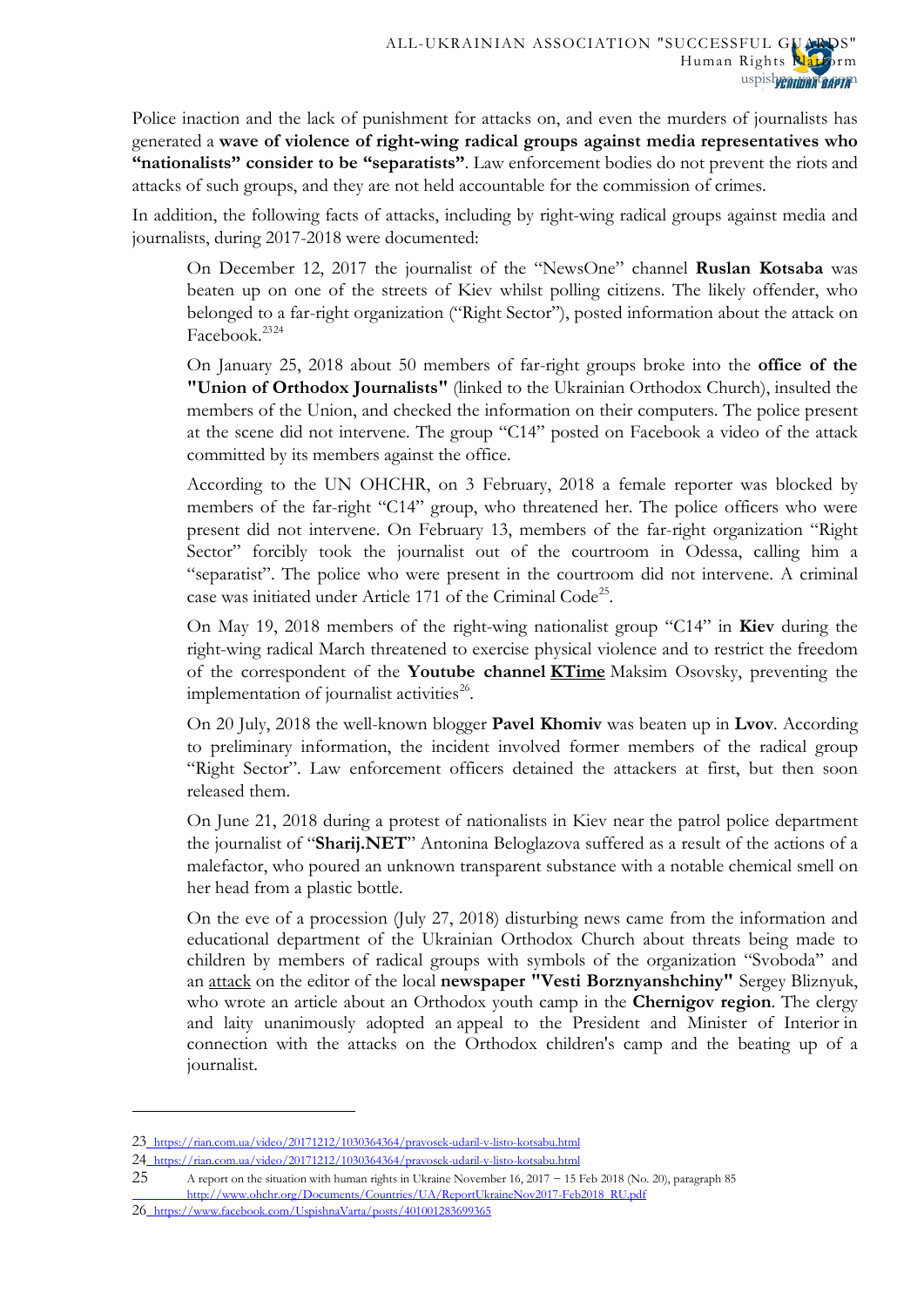Police inaction and the lack of punishment for attacks on, and even the murders of journalists has generated a **wave of violence of right-wing radical groups against media representatives who "nationalists" consider to be "separatists"**. Law enforcement bodies do not prevent the riots and attacks of such groups, and they are not held accountable for the commission of crimes.

In addition, the following facts of attacks, including by right-wing radical groups against media and journalists, during 2017-2018 were documented:

On December 12, 2017 the journalist of the "NewsOne" channel **Ruslan Kotsaba** was beaten up on one of the streets of Kiev whilst polling citizens. The likely offender, who belonged to a far-right organization ("Right Sector"), posted information about the attack on Facebook.[23](#page-17-1)[24](#page-18-0)

On January 25, 2018 about 50 members of far-right groups broke into the **office of the "Union of Orthodox Journalists"** (linked to the Ukrainian Orthodox Church), insulted the members of the Union, and checked the information on their computers. The police present at the scene did not intervene. The group "C14" posted on Facebook a video of the attack committed by its members against the office.

According to the UN OHCHR, on 3 February, 2018 a female reporter was blocked by members of the far-right "C14" group, who threatened her. The police officers who were present did not intervene. On February 13, members of the far-right organization "Right Sector" forcibly took the journalist out of the courtroom in Odessa, calling him a "separatist". The police who were present in the courtroom did not intervene. A criminal case was initiated under Article 171 of the Criminal Code<sup>25</sup>.

On May 19, 2018 members of the right-wing nationalist group "C14" in **Kiev** during the right-wing radical March threatened to exercise physical violence and to restrict the freedom of the correspondent of the **Youtube channel [KTime](https://www.facebook.com/KlymenkoTime/?fref=mentions)** Maksim Osovsky, preventing the implementation of journalist activities<sup>26</sup>.

On 20 July, 2018 the well-known blogger **Pavel Khomiv** was beaten up in **Lvov**. According to preliminary information, the incident involved former members of the radical group "Right Sector". Law enforcement officers detained the attackers at first, but then soon released them.

On June 21, 2018 during a protest of nationalists in Kiev near the patrol police department the journalist of "**Sharij.NET**" Antonina Beloglazova suffered as a result of the actions of a malefactor, who poured an unknown transparent substance with a notable chemical smell on her head from a plastic bottle.

On the eve of a procession (July 27, 2018) disturbing news came from the information and educational department of the Ukrainian Orthodox Church about threats being made to children by members of radical groups with symbols of the organization "Svoboda" and an [attack](http://news.church.ua/2018/07/25/nacionalradikali-pogrozhuyut-dityam-ta-pobili-zhurnalista-yakij-napisav-stattyu-pro-molodizhnij-pravoslavnij-tabir-na-chernigivshhini/) on the editor of the local **newspaper "Vesti Borznyanshchiny"** Sergey Bliznyuk, who wrote an article about an Orthodox youth camp in the **Chernigov region**. The clergy and laity unanimously adopted an [appeal to the President and](https://spzh.news/ru/news/55050-nezhinskaja-jeparkhija-obratilisy-k-prezidentu-v-svyazi-s-napadenijami-radikalov) Minister of Interior in connection with the attacks on the Orthodox children's camp and the beating up of a journalist.

 $\overline{a}$ 

<span id="page-18-3"></span><sup>23</sup> <https://rian.com.ua/video/20171212/1030364364/pravosek-udaril-v-listo-kotsabu.html>

<span id="page-18-0"></span><sup>24</sup> <https://rian.com.ua/video/20171212/1030364364/pravosek-udaril-v-listo-kotsabu.html>

<span id="page-18-1"></span><sup>25</sup> A report on the situation with human rights in Ukraine November 16, 2017 − 15 Feb 2018 (No. 20), paragraph 85 [http://www.ohchr.org/Documents/Countries/UA/ReportUkraineNov2017-Feb2018\\_RU.pdf](http://www.ohchr.org/Documents/Countries/UA/ReportUkraineNov2017-Feb2018_RU.pdf)

<span id="page-18-2"></span><sup>26</sup> <https://www.facebook.com/UspishnaVarta/posts/401001283699365>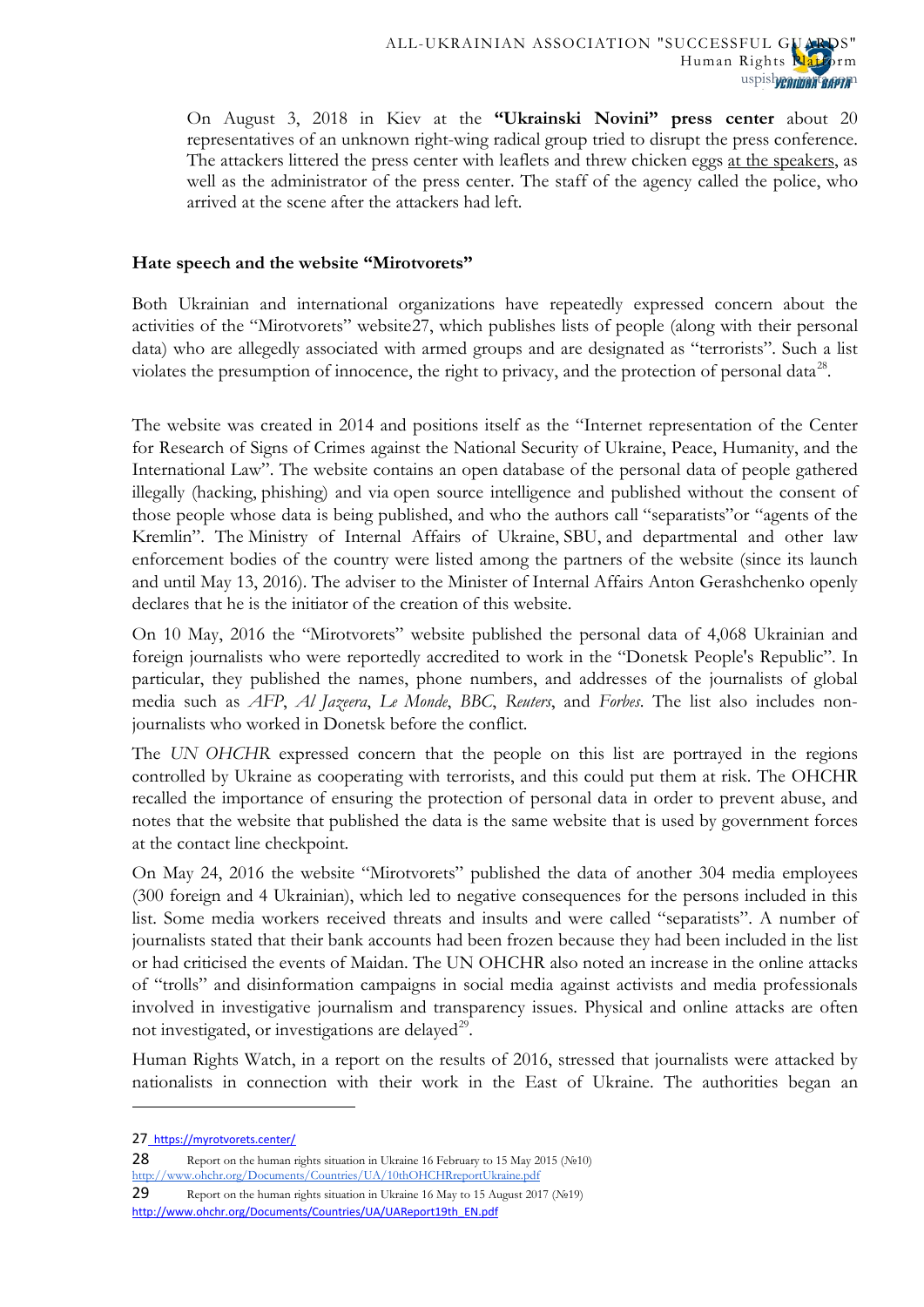On August 3, 2018 in Kiev at the **"Ukrainski Novini" press center** about 20 representatives of an unknown right-wing radical group tried to disrupt the press conference. The attackers littered the press center with leaflets and threw chicken eggs [at the speakers,](https://vesti-ukr.com/kiev/297691-v-kieve-na-press-tsentr-ukrajinskikh-novin-napali-radikaly) as well as the administrator of the press center. The staff of the agency called the police, who arrived at the scene after the attackers had left.

## **Hate speech and the website "Mirotvorets"**

Both Ukrainian and international organizations have repeatedly expressed concern about the activities of the "Mirotvorets" website[27,](#page-18-3) which publishes lists of people (along with their personal data) who are allegedly associated with armed groups and are designated as "terrorists". Such a list violates the presumption of innocence, the right to privacy, and the protection of personal data<sup>[28](#page-19-0)</sup>.

The website was created in 2014 and positions itself as the "Internet representation of the Center for Research of Signs of Crimes against the National Security of Ukraine, Peace, Humanity, and the International Law". The website contains an open [database of the personal data](https://ru.wikipedia.org/wiki/Персональные_данные) of people gathered illegally [\(hacking,](https://ru.wikipedia.org/wiki/Взлом_программного_обеспечения) [phishing\)](https://ru.wikipedia.org/wiki/Фишинг) and via [open source intelligence](https://ru.wikipedia.org/wiki/OSINT) and published without the consent of those people whose data is being published, and who the authors call ["separatists"](https://ru.wikipedia.org/wiki/Сепаратизм_на_Украине)or "agents of the Kremlin". The [Ministry of Internal Affairs of Ukraine,](https://ru.wikipedia.org/wiki/Министерство_внутренних_дел_Украины) [SBU,](https://ru.wikipedia.org/wiki/Служба_безопасности_Украины) and departmental and other law enforcement bodies of the country were listed among the partners of the website (since its launch and until May 13, 2016). The adviser to the Minister of Internal Affairs Anton Gerashchenko openly declares that he is the initiator of the creation of this website.

On 10 May, 2016 the "Mirotvorets" website published the personal data of 4,068 Ukrainian and foreign journalists who were reportedly accredited to work in the "Donetsk People's Republic". In particular, they published the names, phone numbers, and addresses of the journalists of global media such as *AFP*, *Al Jazeera*, *Le Monde*, *BBC*, *Reuters*, and *Forbes*. The list also includes nonjournalists who worked in Donetsk before the conflict.

The *UN OHCHR* expressed concern that the people on this list are portrayed in the regions controlled by Ukraine as cooperating with terrorists, and this could put them at risk. The OHCHR recalled the importance of ensuring the protection of personal data in order to prevent abuse, and notes that the website that published the data is the same website that is used by government forces at the contact line checkpoint.

On May 24, 2016 the website "Mirotvorets" published the data of another 304 media employees (300 foreign and 4 Ukrainian), which led to negative consequences for the persons included in this list. Some media workers received threats and insults and were called "separatists". A number of journalists stated that their bank accounts had been frozen because they had been included in the list or had criticised the events of Maidan. The UN OHCHR also noted an increase in the online attacks of "trolls" and disinformation campaigns in social media against activists and media professionals involved in investigative journalism and transparency issues. Physical and online attacks are often not investigated, or investigations are delayed $^{29}$  $^{29}$  $^{29}$ .

Human Rights Watch, in a report on the results of 2016, stressed that journalists were attacked by nationalists in connection with their work in the East of Ukraine. The authorities began an

**.** 

<span id="page-19-0"></span>28 Report on the human rights situation in Ukraine 16 February to 15 May 2015 (№10) <http://www.ohchr.org/Documents/Countries/UA/10thOHCHRreportUkraine.pdf>

<sup>27</sup> <https://myrotvorets.center/>

<span id="page-19-2"></span><span id="page-19-1"></span><sup>29</sup> Report on the human rights situation in Ukraine 16 May to 15 August 2017 (№19) [http://www.ohchr.org/Documents/Countries/UA/UAReport19th\\_EN.pdf](http://www.ohchr.org/Documents/Countries/UA/UAReport19th_EN.pdf)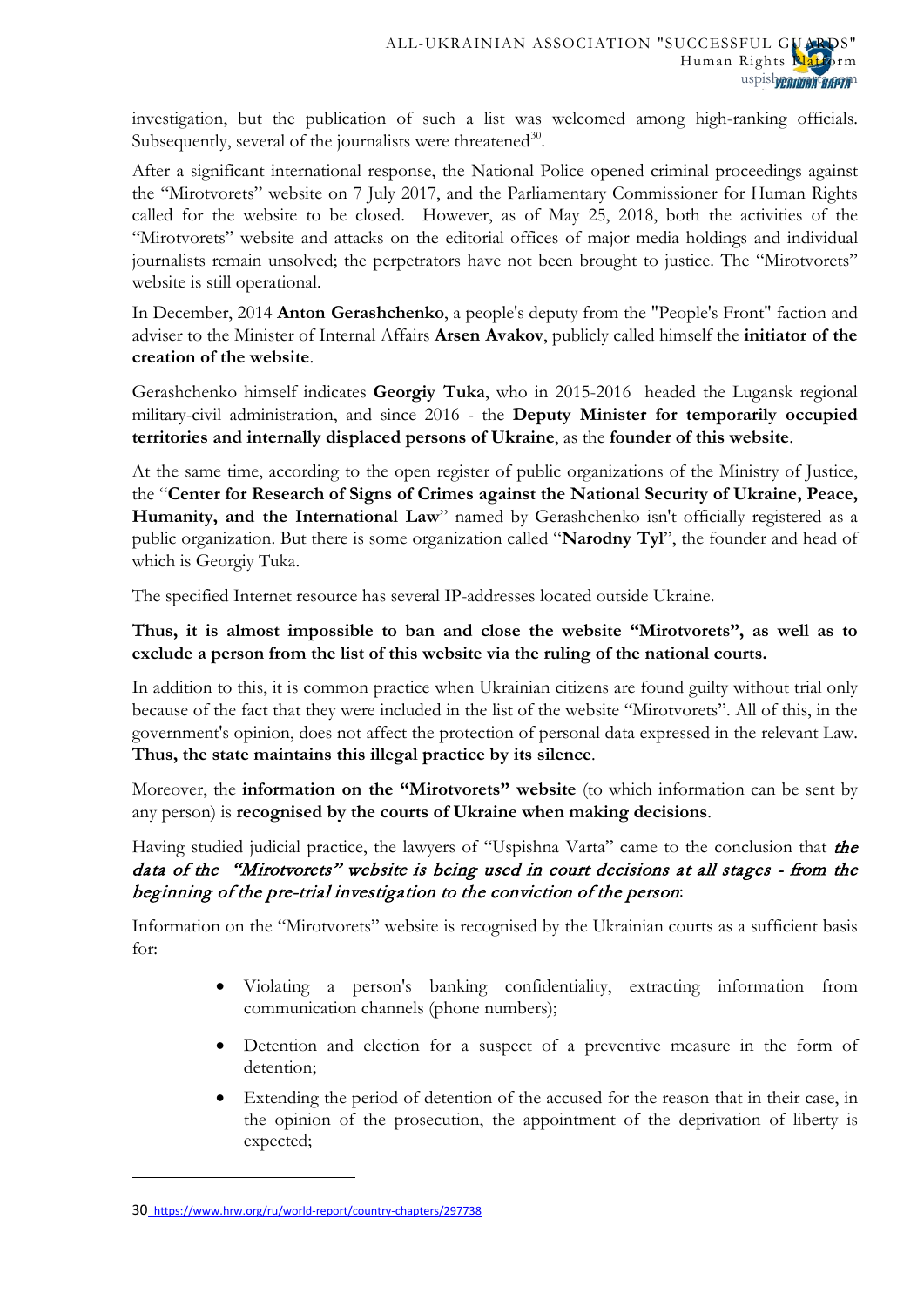investigation, but the publication of such a list was welcomed among high-ranking officials. Subsequently, several of the journalists were threatened  $30$ .

After a significant international response, the National Police opened criminal proceedings against the "Mirotvorets" website on 7 July 2017, and the Parliamentary Commissioner for Human Rights called for the website to be closed. However, as of May 25, 2018, both the activities of the "Mirotvorets" website and attacks on the editorial offices of major media holdings and individual journalists remain unsolved; the perpetrators have not been brought to justice. The "Mirotvorets" website is still operational.

In December, 2014 **Anton Gerashchenko**, a people's deputy from the "People's Front" faction and adviser to the Minister of Internal Affairs **Arsen Avakov**, publicly called himself the **initiator of the creation of the website**.

Gerashchenko himself indicates **Georgiy Tuka**, who in 2015-2016 headed the Lugansk regional military-civil administration, and since 2016 - the **Deputy Minister for temporarily occupied territories and internally displaced persons of Ukraine**, as the **founder of this website**.

At the same time, according to the open register of public organizations of the Ministry of Justice, the "**Center for Research of Signs of Crimes against the National Security of Ukraine, Peace,**  Humanity, and the International Law" named by Gerashchenko isn't officially registered as a public organization. But there is some organization called "**Narodny Tyl**", the founder and head of which is Georgiy Tuka.

The specified Internet resource has several IP-addresses located outside Ukraine.

**Thus, it is almost impossible to ban and close the website "Mirotvorets", as well as to exclude a person from the list of this website via the ruling of the national courts.**

In addition to this, it is common practice when Ukrainian citizens are found guilty without trial only because of the fact that they were included in the list of the website "Mirotvorets". All of this, in the government's opinion, does not affect the protection of personal data expressed in the relevant Law. **Thus, the state maintains this illegal practice by its silence**.

Moreover, the **information on the "Mirotvorets" website** (to which information can be sent by any person) is **recognised by the courts of Ukraine when making decisions**.

Having studied judicial practice, the lawyers of "Uspishna Varta" came to the conclusion that the data of the "Mirotvorets" website is being used in court decisions at all stages - from the beginning of the pre-trial investigation to the conviction of the person:

Information on the "Mirotvorets" website is recognised by the Ukrainian courts as a sufficient basis for:

- Violating a person's banking confidentiality, extracting information from communication channels (phone numbers);
- Detention and election for a suspect of a preventive measure in the form of detention;
- Extending the period of detention of the accused for the reason that in their case, in the opinion of the prosecution, the appointment of the deprivation of liberty is expected;

<sup>30</sup> <https://www.hrw.org/ru/world-report/country-chapters/297738>